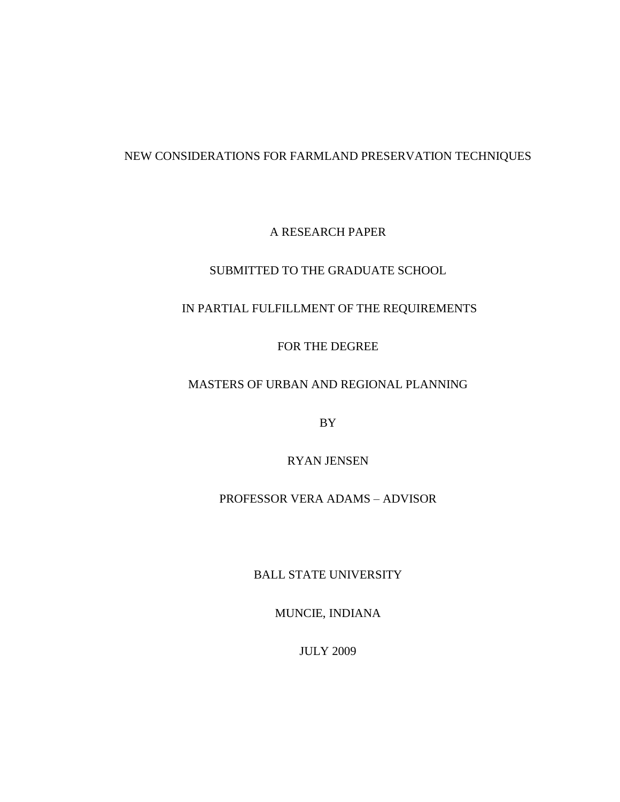# NEW CONSIDERATIONS FOR FARMLAND PRESERVATION TECHNIQUES

# A RESEARCH PAPER

# SUBMITTED TO THE GRADUATE SCHOOL

# IN PARTIAL FULFILLMENT OF THE REQUIREMENTS

# FOR THE DEGREE

# MASTERS OF URBAN AND REGIONAL PLANNING

BY

# RYAN JENSEN

# PROFESSOR VERA ADAMS – ADVISOR

# BALL STATE UNIVERSITY

MUNCIE, INDIANA

JULY 2009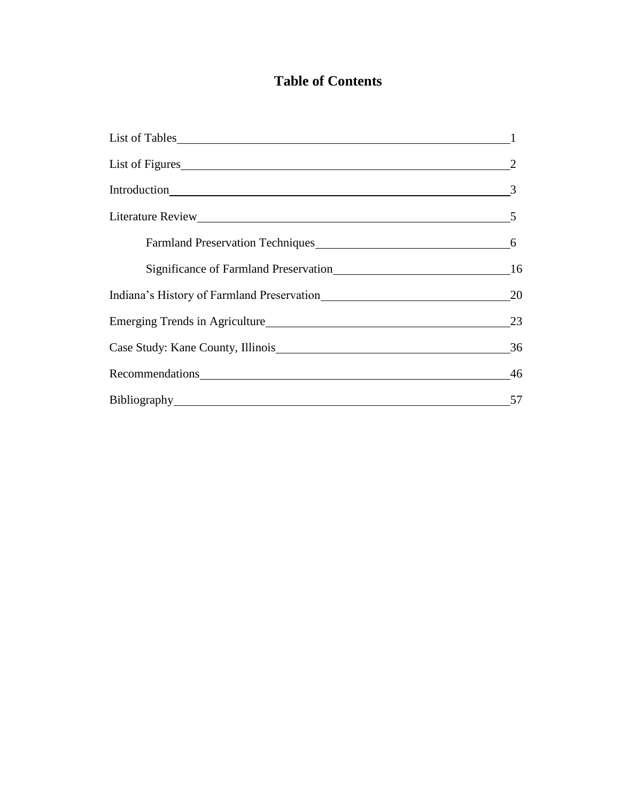# **Table of Contents**

| List of Figures                            |                |
|--------------------------------------------|----------------|
|                                            | $\frac{3}{2}$  |
|                                            | $5\phantom{0}$ |
| Farmland Preservation Techniques           | 6              |
|                                            | 16             |
| Indiana's History of Farmland Preservation | 20             |
|                                            | 23             |
| Case Study: Kane County, Illinois          | 36             |
|                                            | 46             |
|                                            | 57             |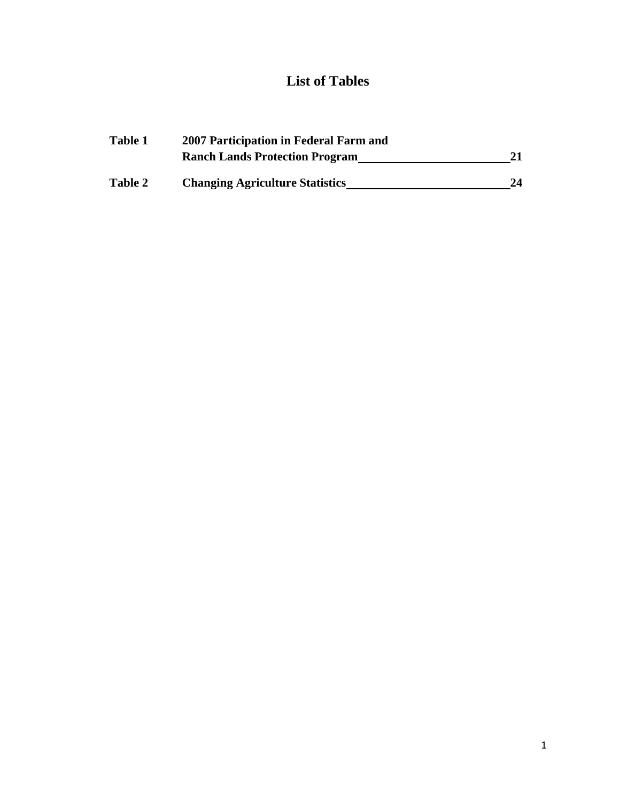# **List of Tables**

| Table 1 | 2007 Participation in Federal Farm and |    |  |
|---------|----------------------------------------|----|--|
|         | <b>Ranch Lands Protection Program</b>  |    |  |
| Table 2 | <b>Changing Agriculture Statistics</b> | 24 |  |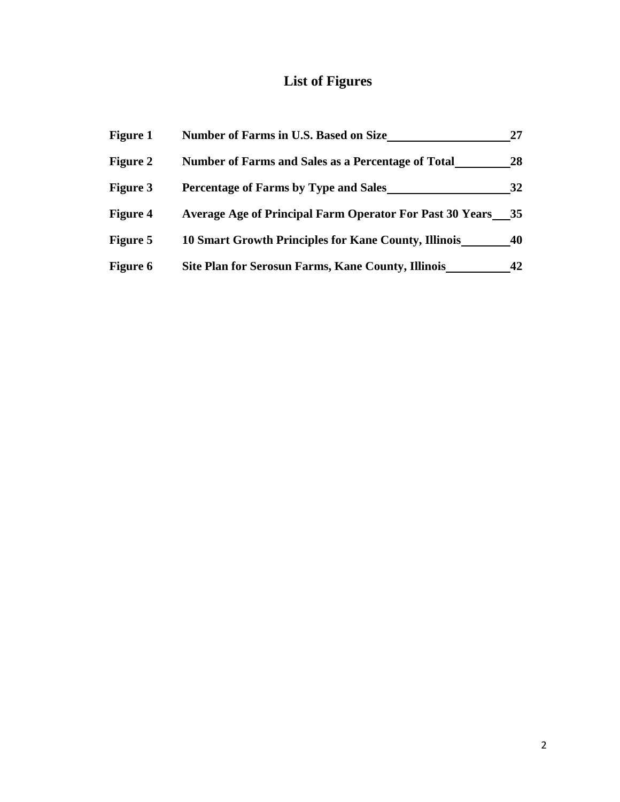# **List of Figures**

| <b>Figure 1</b> | <b>Number of Farms in U.S. Based on Size</b>                    | 27 |
|-----------------|-----------------------------------------------------------------|----|
| <b>Figure 2</b> | Number of Farms and Sales as a Percentage of Total              | 28 |
| <b>Figure 3</b> | <b>Percentage of Farms by Type and Sales</b>                    | 32 |
| <b>Figure 4</b> | <b>Average Age of Principal Farm Operator For Past 30 Years</b> | 35 |
| <b>Figure 5</b> | <b>10 Smart Growth Principles for Kane County, Illinois</b>     | 40 |
| Figure 6        | Site Plan for Serosun Farms, Kane County, Illinois              | 42 |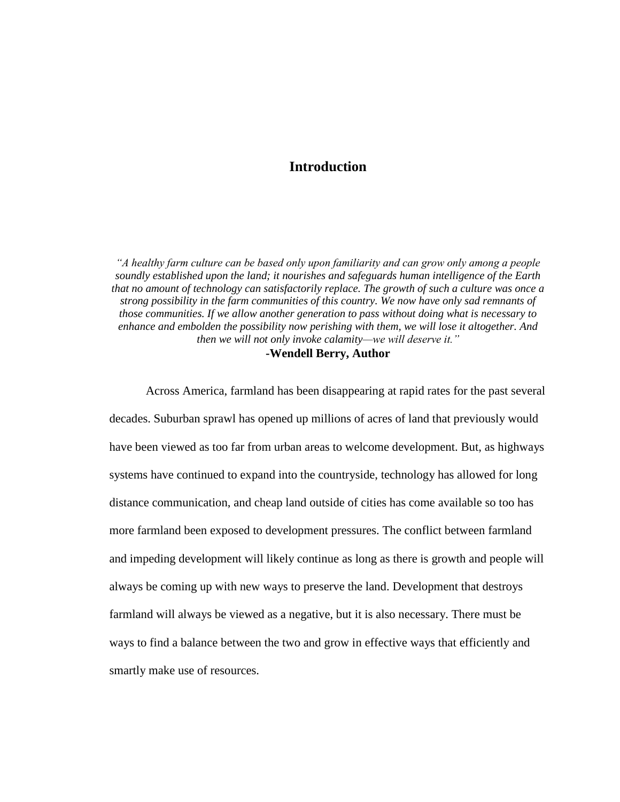# **Introduction**

*"A healthy farm culture can be based only upon familiarity and can grow only among a people soundly established upon the land; it nourishes and safeguards human intelligence of the Earth that no amount of technology can satisfactorily replace. The growth of such a culture was once a strong possibility in the farm communities of this country. We now have only sad remnants of those communities. If we allow another generation to pass without doing what is necessary to enhance and embolden the possibility now perishing with them, we will lose it altogether. And then we will not only invoke calamity—we will deserve it."* **-Wendell Berry, Author**

Across America, farmland has been disappearing at rapid rates for the past several decades. Suburban sprawl has opened up millions of acres of land that previously would have been viewed as too far from urban areas to welcome development. But, as highways systems have continued to expand into the countryside, technology has allowed for long distance communication, and cheap land outside of cities has come available so too has more farmland been exposed to development pressures. The conflict between farmland and impeding development will likely continue as long as there is growth and people will always be coming up with new ways to preserve the land. Development that destroys farmland will always be viewed as a negative, but it is also necessary. There must be ways to find a balance between the two and grow in effective ways that efficiently and smartly make use of resources.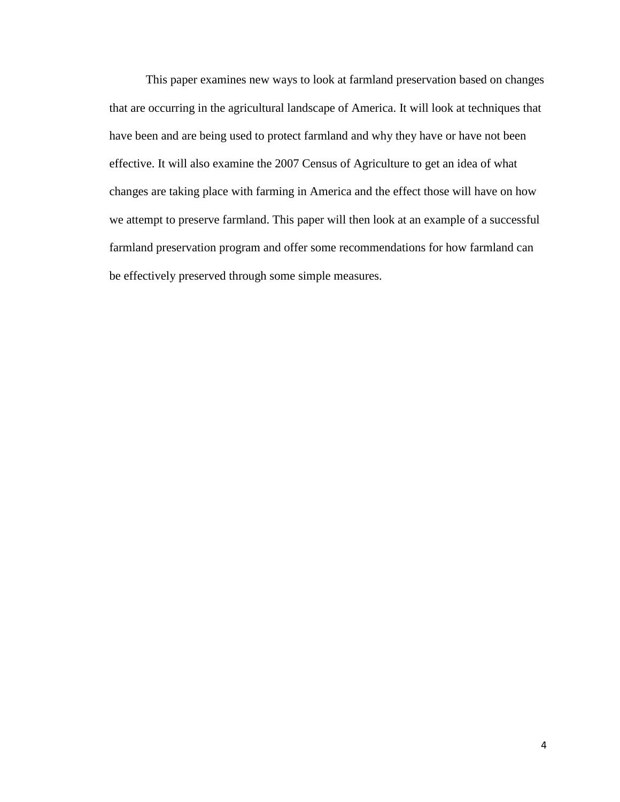This paper examines new ways to look at farmland preservation based on changes that are occurring in the agricultural landscape of America. It will look at techniques that have been and are being used to protect farmland and why they have or have not been effective. It will also examine the 2007 Census of Agriculture to get an idea of what changes are taking place with farming in America and the effect those will have on how we attempt to preserve farmland. This paper will then look at an example of a successful farmland preservation program and offer some recommendations for how farmland can be effectively preserved through some simple measures.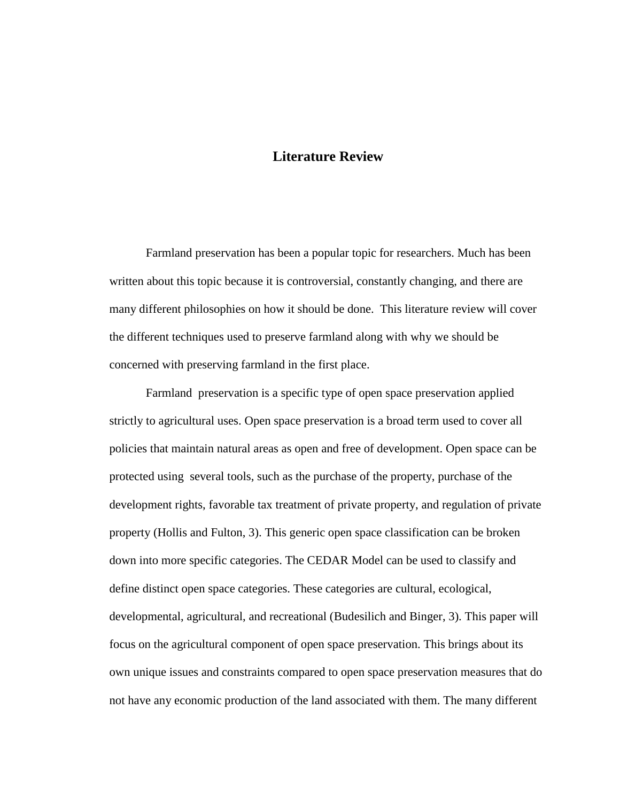# **Literature Review**

Farmland preservation has been a popular topic for researchers. Much has been written about this topic because it is controversial, constantly changing, and there are many different philosophies on how it should be done. This literature review will cover the different techniques used to preserve farmland along with why we should be concerned with preserving farmland in the first place.

Farmland preservation is a specific type of open space preservation applied strictly to agricultural uses. Open space preservation is a broad term used to cover all policies that maintain natural areas as open and free of development. Open space can be protected using several tools, such as the purchase of the property, purchase of the development rights, favorable tax treatment of private property, and regulation of private property (Hollis and Fulton, 3). This generic open space classification can be broken down into more specific categories. The CEDAR Model can be used to classify and define distinct open space categories. These categories are cultural, ecological, developmental, agricultural, and recreational (Budesilich and Binger, 3). This paper will focus on the agricultural component of open space preservation. This brings about its own unique issues and constraints compared to open space preservation measures that do not have any economic production of the land associated with them. The many different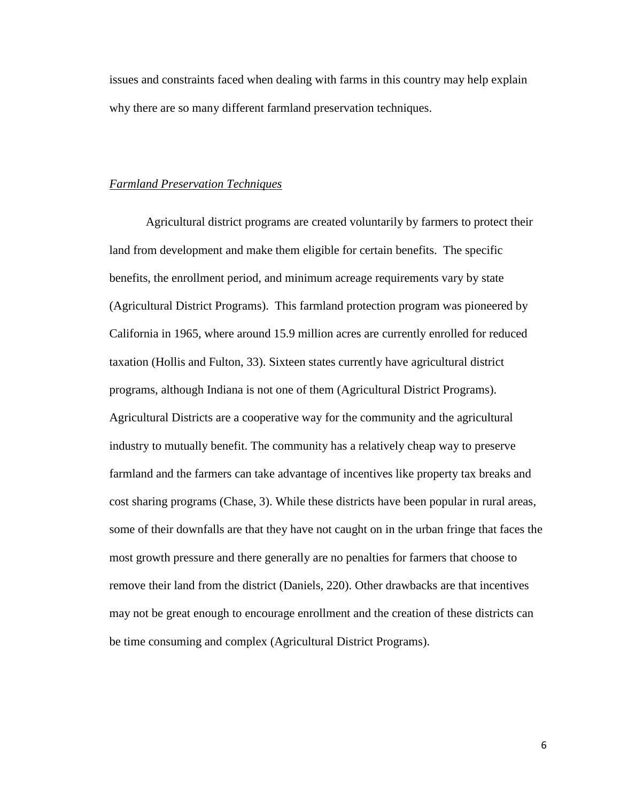issues and constraints faced when dealing with farms in this country may help explain why there are so many different farmland preservation techniques.

#### *Farmland Preservation Techniques*

Agricultural district programs are created voluntarily by farmers to protect their land from development and make them eligible for certain benefits. The specific benefits, the enrollment period, and minimum acreage requirements vary by state (Agricultural District Programs). This farmland protection program was pioneered by California in 1965, where around 15.9 million acres are currently enrolled for reduced taxation (Hollis and Fulton, 33). Sixteen states currently have agricultural district programs, although Indiana is not one of them (Agricultural District Programs). Agricultural Districts are a cooperative way for the community and the agricultural industry to mutually benefit. The community has a relatively cheap way to preserve farmland and the farmers can take advantage of incentives like property tax breaks and cost sharing programs (Chase, 3). While these districts have been popular in rural areas, some of their downfalls are that they have not caught on in the urban fringe that faces the most growth pressure and there generally are no penalties for farmers that choose to remove their land from the district (Daniels*,* 220). Other drawbacks are that incentives may not be great enough to encourage enrollment and the creation of these districts can be time consuming and complex (Agricultural District Programs).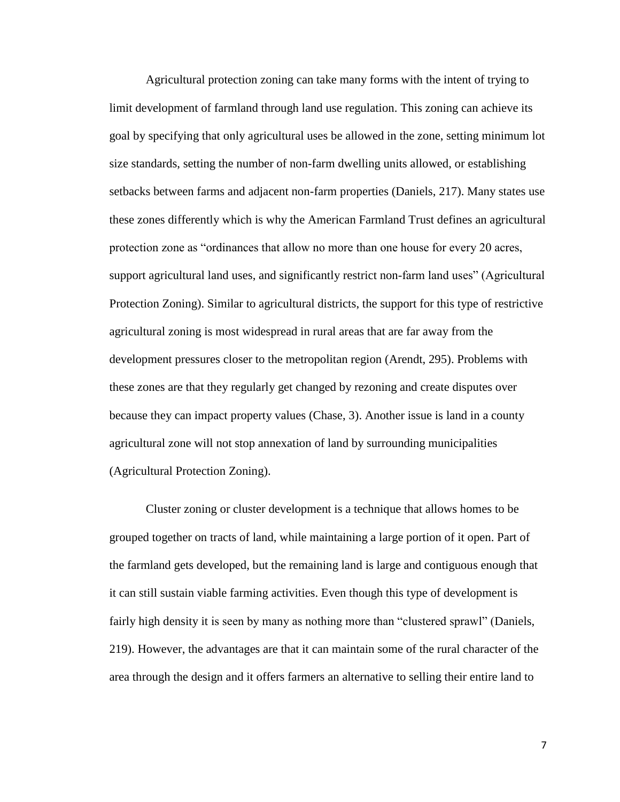Agricultural protection zoning can take many forms with the intent of trying to limit development of farmland through land use regulation. This zoning can achieve its goal by specifying that only agricultural uses be allowed in the zone, setting minimum lot size standards, setting the number of non-farm dwelling units allowed, or establishing setbacks between farms and adjacent non-farm properties (Daniels, 217). Many states use these zones differently which is why the American Farmland Trust defines an agricultural protection zone as "ordinances that allow no more than one house for every 20 acres, support agricultural land uses, and significantly restrict non-farm land uses" (Agricultural Protection Zoning). Similar to agricultural districts, the support for this type of restrictive agricultural zoning is most widespread in rural areas that are far away from the development pressures closer to the metropolitan region (Arendt, 295). Problems with these zones are that they regularly get changed by rezoning and create disputes over because they can impact property values (Chase, 3). Another issue is land in a county agricultural zone will not stop annexation of land by surrounding municipalities (Agricultural Protection Zoning).

Cluster zoning or cluster development is a technique that allows homes to be grouped together on tracts of land, while maintaining a large portion of it open. Part of the farmland gets developed, but the remaining land is large and contiguous enough that it can still sustain viable farming activities. Even though this type of development is fairly high density it is seen by many as nothing more than "clustered sprawl" (Daniels, 219). However, the advantages are that it can maintain some of the rural character of the area through the design and it offers farmers an alternative to selling their entire land to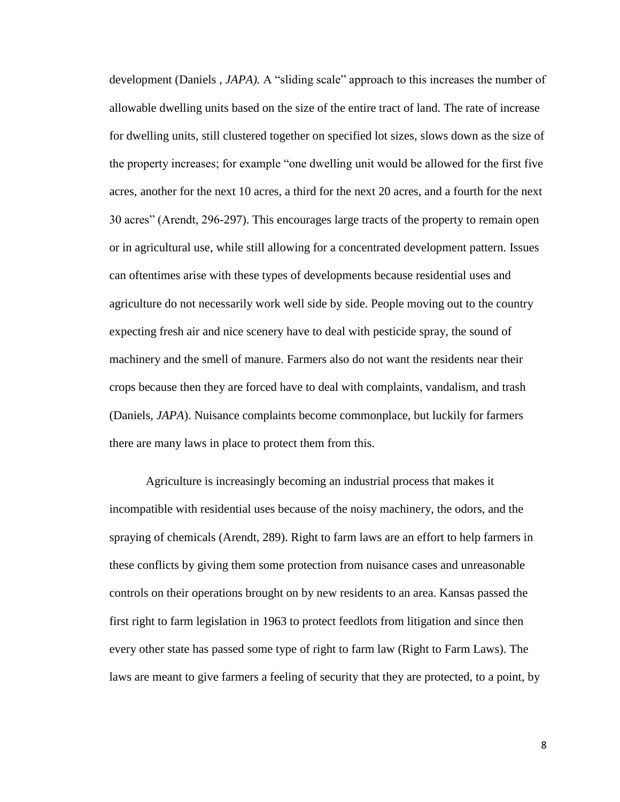development (Daniels , *JAPA).* A "sliding scale" approach to this increases the number of allowable dwelling units based on the size of the entire tract of land. The rate of increase for dwelling units, still clustered together on specified lot sizes, slows down as the size of the property increases; for example "one dwelling unit would be allowed for the first five acres, another for the next 10 acres, a third for the next 20 acres, and a fourth for the next 30 acres" (Arendt, 296-297). This encourages large tracts of the property to remain open or in agricultural use, while still allowing for a concentrated development pattern. Issues can oftentimes arise with these types of developments because residential uses and agriculture do not necessarily work well side by side. People moving out to the country expecting fresh air and nice scenery have to deal with pesticide spray, the sound of machinery and the smell of manure. Farmers also do not want the residents near their crops because then they are forced have to deal with complaints, vandalism, and trash (Daniels, *JAPA*). Nuisance complaints become commonplace, but luckily for farmers there are many laws in place to protect them from this.

Agriculture is increasingly becoming an industrial process that makes it incompatible with residential uses because of the noisy machinery, the odors, and the spraying of chemicals (Arendt, 289). Right to farm laws are an effort to help farmers in these conflicts by giving them some protection from nuisance cases and unreasonable controls on their operations brought on by new residents to an area. Kansas passed the first right to farm legislation in 1963 to protect feedlots from litigation and since then every other state has passed some type of right to farm law (Right to Farm Laws). The laws are meant to give farmers a feeling of security that they are protected, to a point, by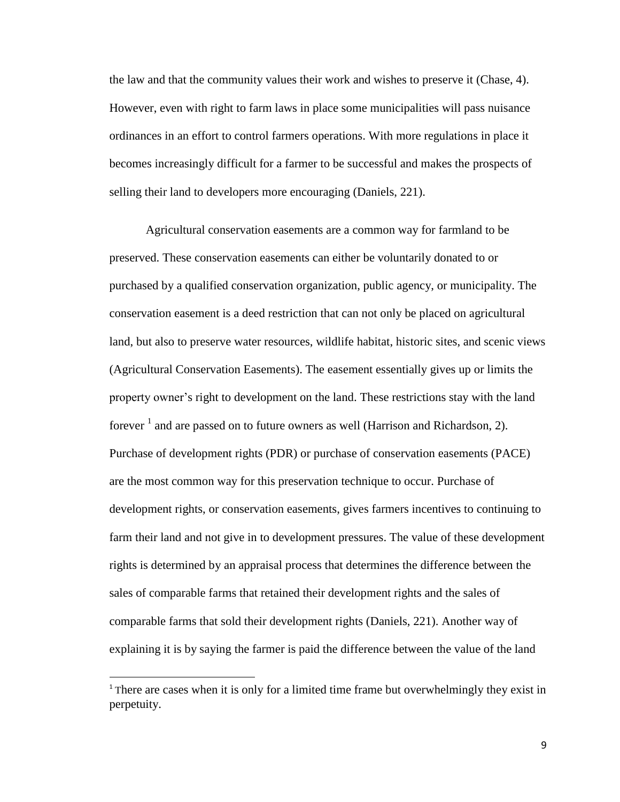the law and that the community values their work and wishes to preserve it (Chase, 4). However, even with right to farm laws in place some municipalities will pass nuisance ordinances in an effort to control farmers operations. With more regulations in place it becomes increasingly difficult for a farmer to be successful and makes the prospects of selling their land to developers more encouraging (Daniels, 221).

Agricultural conservation easements are a common way for farmland to be preserved. These conservation easements can either be voluntarily donated to or purchased by a qualified conservation organization, public agency, or municipality. The conservation easement is a deed restriction that can not only be placed on agricultural land, but also to preserve water resources, wildlife habitat, historic sites, and scenic views (Agricultural Conservation Easements). The easement essentially gives up or limits the property owner"s right to development on the land. These restrictions stay with the land forever  $<sup>1</sup>$  and are passed on to future owners as well (Harrison and Richardson, 2).</sup> Purchase of development rights (PDR) or purchase of conservation easements (PACE) are the most common way for this preservation technique to occur. Purchase of development rights, or conservation easements, gives farmers incentives to continuing to farm their land and not give in to development pressures. The value of these development rights is determined by an appraisal process that determines the difference between the sales of comparable farms that retained their development rights and the sales of comparable farms that sold their development rights (Daniels, 221). Another way of explaining it is by saying the farmer is paid the difference between the value of the land

l

<sup>&</sup>lt;sup>1</sup> There are cases when it is only for a limited time frame but overwhelmingly they exist in perpetuity.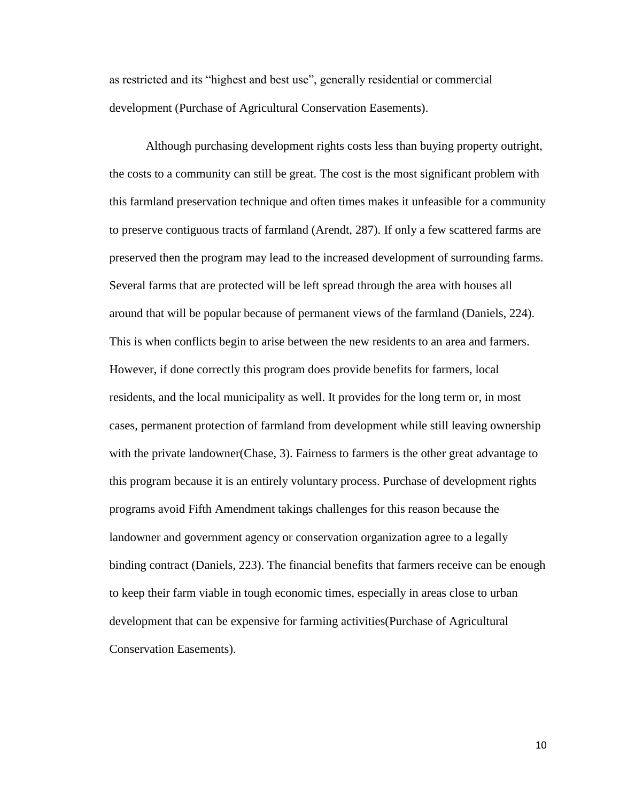as restricted and its "highest and best use", generally residential or commercial development (Purchase of Agricultural Conservation Easements).

Although purchasing development rights costs less than buying property outright, the costs to a community can still be great. The cost is the most significant problem with this farmland preservation technique and often times makes it unfeasible for a community to preserve contiguous tracts of farmland (Arendt, 287). If only a few scattered farms are preserved then the program may lead to the increased development of surrounding farms. Several farms that are protected will be left spread through the area with houses all around that will be popular because of permanent views of the farmland (Daniels, 224). This is when conflicts begin to arise between the new residents to an area and farmers. However, if done correctly this program does provide benefits for farmers, local residents, and the local municipality as well. It provides for the long term or, in most cases, permanent protection of farmland from development while still leaving ownership with the private landowner(Chase, 3). Fairness to farmers is the other great advantage to this program because it is an entirely voluntary process. Purchase of development rights programs avoid Fifth Amendment takings challenges for this reason because the landowner and government agency or conservation organization agree to a legally binding contract (Daniels, 223). The financial benefits that farmers receive can be enough to keep their farm viable in tough economic times, especially in areas close to urban development that can be expensive for farming activities(Purchase of Agricultural Conservation Easements).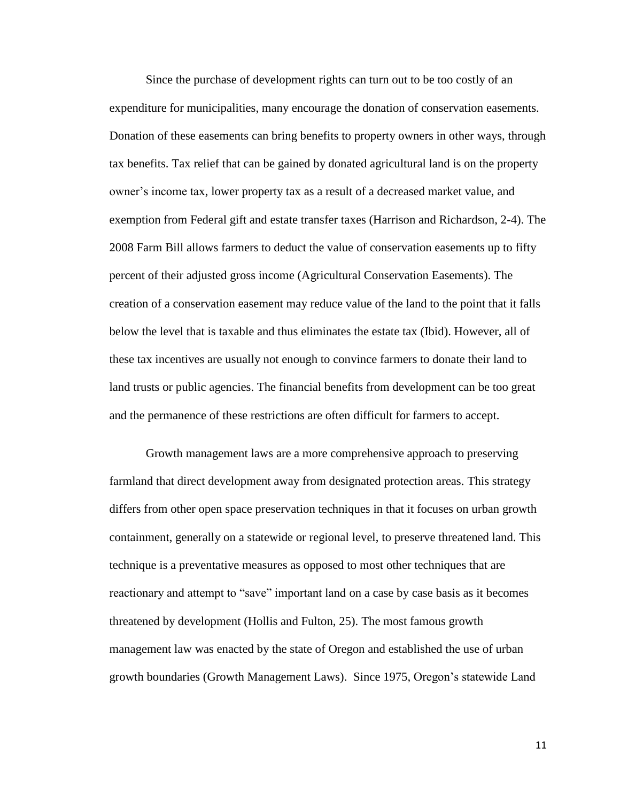Since the purchase of development rights can turn out to be too costly of an expenditure for municipalities, many encourage the donation of conservation easements. Donation of these easements can bring benefits to property owners in other ways, through tax benefits. Tax relief that can be gained by donated agricultural land is on the property owner"s income tax, lower property tax as a result of a decreased market value, and exemption from Federal gift and estate transfer taxes (Harrison and Richardson, 2-4). The 2008 Farm Bill allows farmers to deduct the value of conservation easements up to fifty percent of their adjusted gross income (Agricultural Conservation Easements). The creation of a conservation easement may reduce value of the land to the point that it falls below the level that is taxable and thus eliminates the estate tax (Ibid). However, all of these tax incentives are usually not enough to convince farmers to donate their land to land trusts or public agencies. The financial benefits from development can be too great and the permanence of these restrictions are often difficult for farmers to accept.

Growth management laws are a more comprehensive approach to preserving farmland that direct development away from designated protection areas. This strategy differs from other open space preservation techniques in that it focuses on urban growth containment, generally on a statewide or regional level, to preserve threatened land. This technique is a preventative measures as opposed to most other techniques that are reactionary and attempt to "save" important land on a case by case basis as it becomes threatened by development (Hollis and Fulton, 25). The most famous growth management law was enacted by the state of Oregon and established the use of urban growth boundaries (Growth Management Laws). Since 1975, Oregon"s statewide Land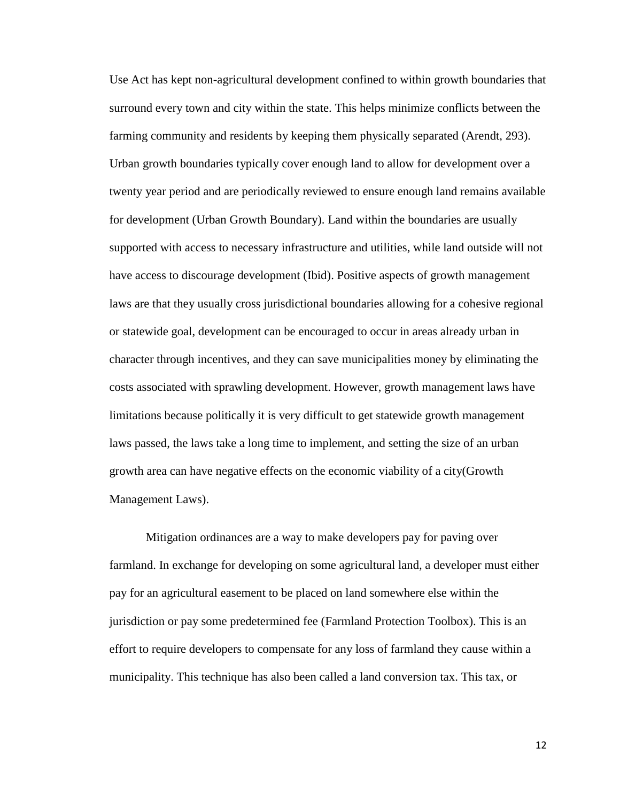Use Act has kept non-agricultural development confined to within growth boundaries that surround every town and city within the state. This helps minimize conflicts between the farming community and residents by keeping them physically separated (Arendt, 293). Urban growth boundaries typically cover enough land to allow for development over a twenty year period and are periodically reviewed to ensure enough land remains available for development (Urban Growth Boundary). Land within the boundaries are usually supported with access to necessary infrastructure and utilities, while land outside will not have access to discourage development (Ibid). Positive aspects of growth management laws are that they usually cross jurisdictional boundaries allowing for a cohesive regional or statewide goal, development can be encouraged to occur in areas already urban in character through incentives, and they can save municipalities money by eliminating the costs associated with sprawling development. However, growth management laws have limitations because politically it is very difficult to get statewide growth management laws passed, the laws take a long time to implement, and setting the size of an urban growth area can have negative effects on the economic viability of a city(Growth Management Laws).

Mitigation ordinances are a way to make developers pay for paving over farmland. In exchange for developing on some agricultural land, a developer must either pay for an agricultural easement to be placed on land somewhere else within the jurisdiction or pay some predetermined fee (Farmland Protection Toolbox). This is an effort to require developers to compensate for any loss of farmland they cause within a municipality. This technique has also been called a land conversion tax. This tax, or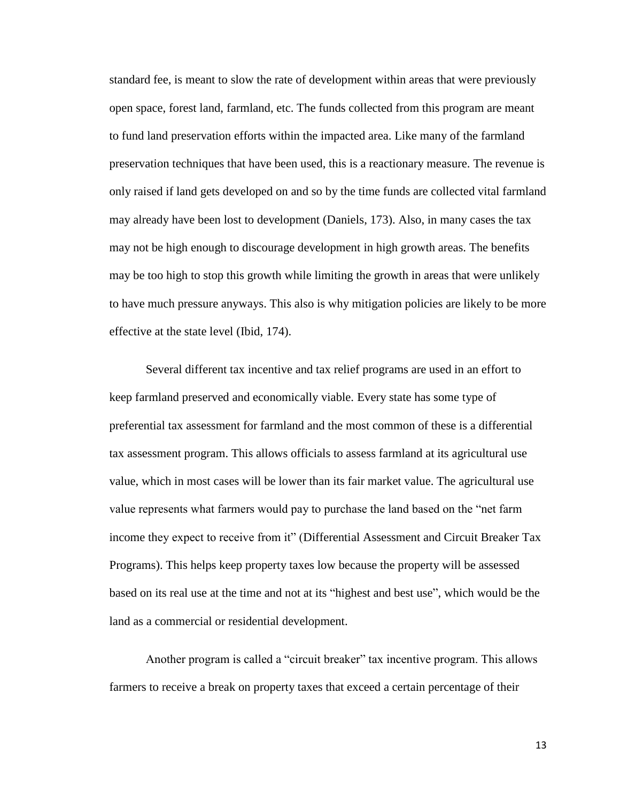standard fee, is meant to slow the rate of development within areas that were previously open space, forest land, farmland, etc. The funds collected from this program are meant to fund land preservation efforts within the impacted area. Like many of the farmland preservation techniques that have been used, this is a reactionary measure. The revenue is only raised if land gets developed on and so by the time funds are collected vital farmland may already have been lost to development (Daniels, 173). Also, in many cases the tax may not be high enough to discourage development in high growth areas. The benefits may be too high to stop this growth while limiting the growth in areas that were unlikely to have much pressure anyways. This also is why mitigation policies are likely to be more effective at the state level (Ibid, 174).

Several different tax incentive and tax relief programs are used in an effort to keep farmland preserved and economically viable. Every state has some type of preferential tax assessment for farmland and the most common of these is a differential tax assessment program. This allows officials to assess farmland at its agricultural use value, which in most cases will be lower than its fair market value. The agricultural use value represents what farmers would pay to purchase the land based on the "net farm income they expect to receive from it" (Differential Assessment and Circuit Breaker Tax Programs). This helps keep property taxes low because the property will be assessed based on its real use at the time and not at its "highest and best use", which would be the land as a commercial or residential development.

Another program is called a "circuit breaker" tax incentive program. This allows farmers to receive a break on property taxes that exceed a certain percentage of their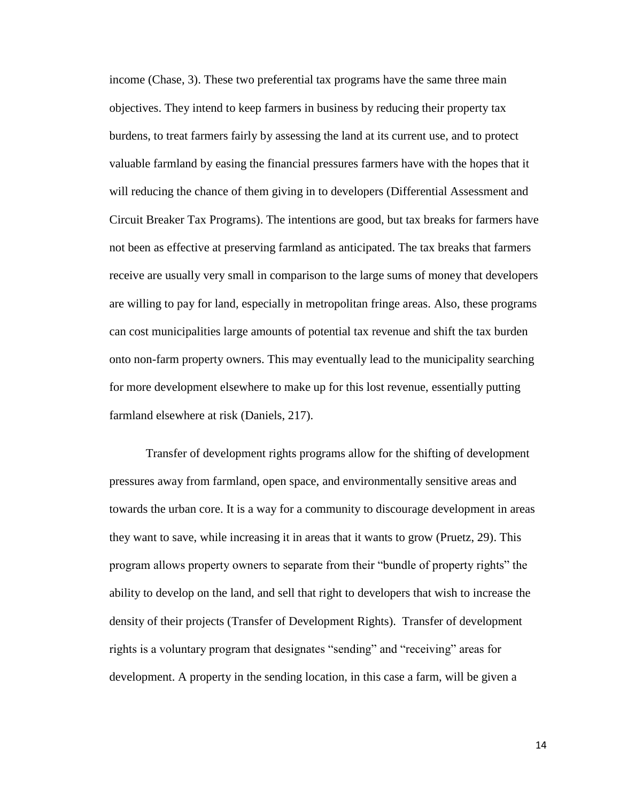income (Chase, 3). These two preferential tax programs have the same three main objectives. They intend to keep farmers in business by reducing their property tax burdens, to treat farmers fairly by assessing the land at its current use, and to protect valuable farmland by easing the financial pressures farmers have with the hopes that it will reducing the chance of them giving in to developers (Differential Assessment and Circuit Breaker Tax Programs). The intentions are good, but tax breaks for farmers have not been as effective at preserving farmland as anticipated. The tax breaks that farmers receive are usually very small in comparison to the large sums of money that developers are willing to pay for land, especially in metropolitan fringe areas. Also, these programs can cost municipalities large amounts of potential tax revenue and shift the tax burden onto non-farm property owners. This may eventually lead to the municipality searching for more development elsewhere to make up for this lost revenue, essentially putting farmland elsewhere at risk (Daniels, 217).

Transfer of development rights programs allow for the shifting of development pressures away from farmland, open space, and environmentally sensitive areas and towards the urban core. It is a way for a community to discourage development in areas they want to save, while increasing it in areas that it wants to grow (Pruetz, 29). This program allows property owners to separate from their "bundle of property rights" the ability to develop on the land, and sell that right to developers that wish to increase the density of their projects (Transfer of Development Rights). Transfer of development rights is a voluntary program that designates "sending" and "receiving" areas for development. A property in the sending location, in this case a farm, will be given a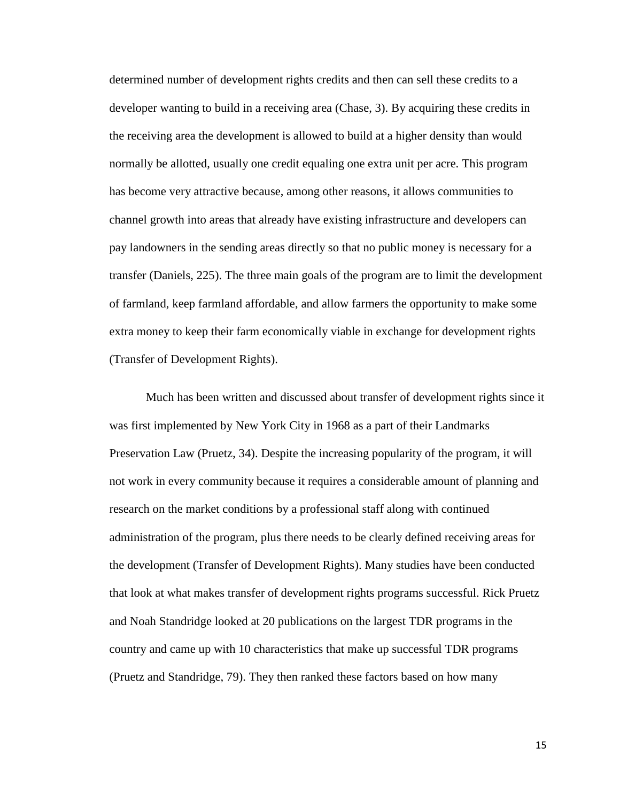determined number of development rights credits and then can sell these credits to a developer wanting to build in a receiving area (Chase, 3). By acquiring these credits in the receiving area the development is allowed to build at a higher density than would normally be allotted, usually one credit equaling one extra unit per acre. This program has become very attractive because, among other reasons, it allows communities to channel growth into areas that already have existing infrastructure and developers can pay landowners in the sending areas directly so that no public money is necessary for a transfer (Daniels, 225). The three main goals of the program are to limit the development of farmland, keep farmland affordable, and allow farmers the opportunity to make some extra money to keep their farm economically viable in exchange for development rights (Transfer of Development Rights).

Much has been written and discussed about transfer of development rights since it was first implemented by New York City in 1968 as a part of their Landmarks Preservation Law (Pruetz, 34). Despite the increasing popularity of the program, it will not work in every community because it requires a considerable amount of planning and research on the market conditions by a professional staff along with continued administration of the program, plus there needs to be clearly defined receiving areas for the development (Transfer of Development Rights). Many studies have been conducted that look at what makes transfer of development rights programs successful. Rick Pruetz and Noah Standridge looked at 20 publications on the largest TDR programs in the country and came up with 10 characteristics that make up successful TDR programs (Pruetz and Standridge, 79). They then ranked these factors based on how many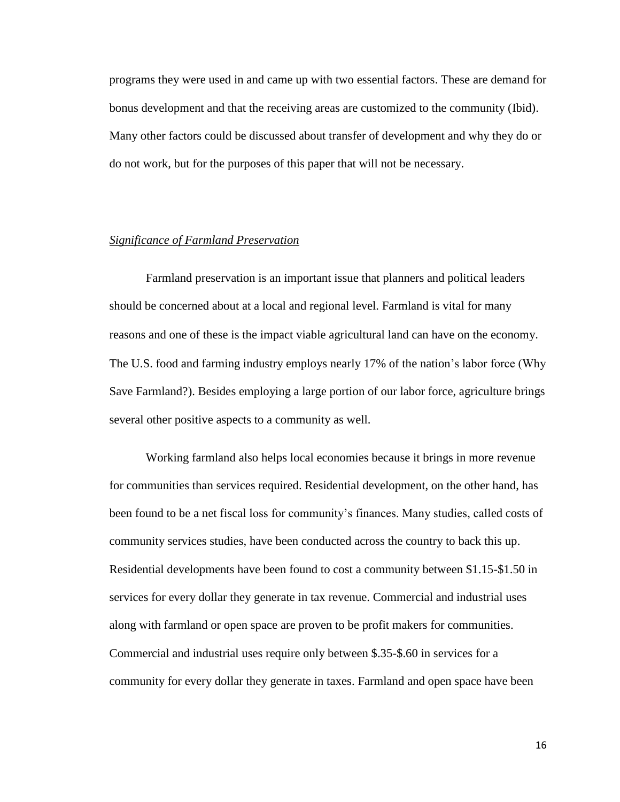programs they were used in and came up with two essential factors. These are demand for bonus development and that the receiving areas are customized to the community (Ibid). Many other factors could be discussed about transfer of development and why they do or do not work, but for the purposes of this paper that will not be necessary.

### *Significance of Farmland Preservation*

Farmland preservation is an important issue that planners and political leaders should be concerned about at a local and regional level. Farmland is vital for many reasons and one of these is the impact viable agricultural land can have on the economy. The U.S. food and farming industry employs nearly 17% of the nation"s labor force (Why Save Farmland?). Besides employing a large portion of our labor force, agriculture brings several other positive aspects to a community as well.

Working farmland also helps local economies because it brings in more revenue for communities than services required. Residential development, on the other hand, has been found to be a net fiscal loss for community's finances. Many studies, called costs of community services studies, have been conducted across the country to back this up. Residential developments have been found to cost a community between \$1.15-\$1.50 in services for every dollar they generate in tax revenue. Commercial and industrial uses along with farmland or open space are proven to be profit makers for communities. Commercial and industrial uses require only between \$.35-\$.60 in services for a community for every dollar they generate in taxes. Farmland and open space have been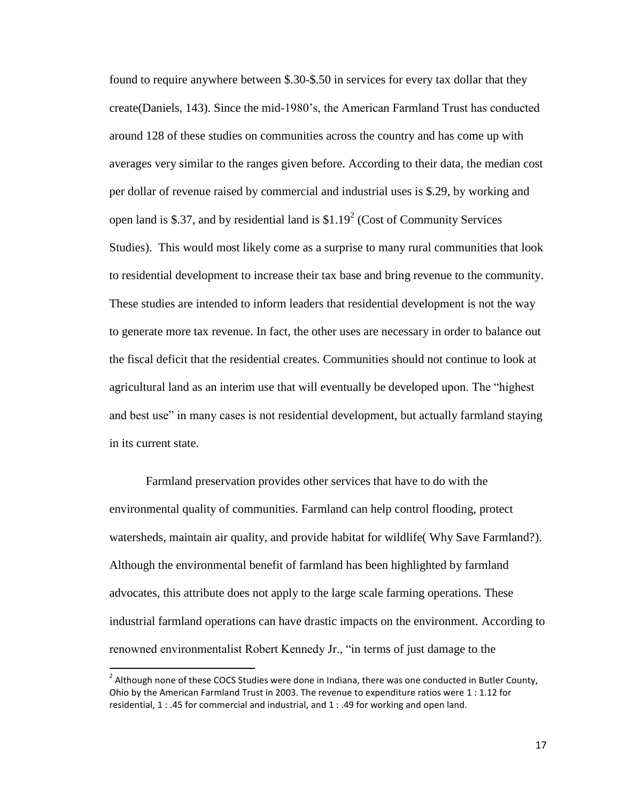found to require anywhere between \$.30-\$.50 in services for every tax dollar that they create(Daniels, 143). Since the mid-1980"s, the American Farmland Trust has conducted around 128 of these studies on communities across the country and has come up with averages very similar to the ranges given before. According to their data, the median cost per dollar of revenue raised by commercial and industrial uses is \$.29, by working and open land is \$.37, and by residential land is  $$1.19<sup>2</sup>$  (Cost of Community Services Studies). This would most likely come as a surprise to many rural communities that look to residential development to increase their tax base and bring revenue to the community. These studies are intended to inform leaders that residential development is not the way to generate more tax revenue. In fact, the other uses are necessary in order to balance out the fiscal deficit that the residential creates. Communities should not continue to look at agricultural land as an interim use that will eventually be developed upon. The "highest and best use" in many cases is not residential development, but actually farmland staying in its current state.

Farmland preservation provides other services that have to do with the environmental quality of communities. Farmland can help control flooding, protect watersheds, maintain air quality, and provide habitat for wildlife( Why Save Farmland?). Although the environmental benefit of farmland has been highlighted by farmland advocates, this attribute does not apply to the large scale farming operations. These industrial farmland operations can have drastic impacts on the environment. According to renowned environmentalist Robert Kennedy Jr., "in terms of just damage to the

 $\overline{\phantom{a}}$ 

 $^2$  Although none of these COCS Studies were done in Indiana, there was one conducted in Butler County, Ohio by the American Farmland Trust in 2003. The revenue to expenditure ratios were 1 : 1.12 for residential, 1 : .45 for commercial and industrial, and 1 : .49 for working and open land.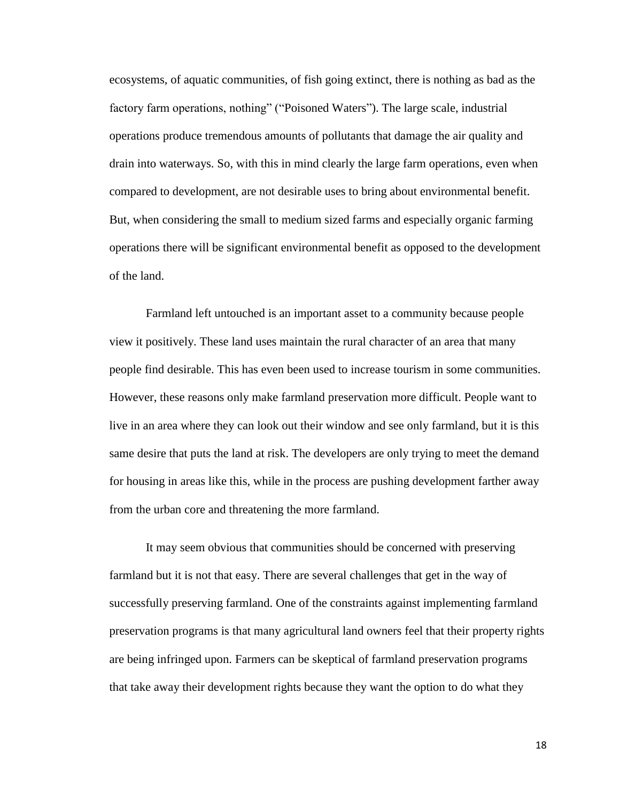ecosystems, of aquatic communities, of fish going extinct, there is nothing as bad as the factory farm operations, nothing" ("Poisoned Waters"). The large scale, industrial operations produce tremendous amounts of pollutants that damage the air quality and drain into waterways. So, with this in mind clearly the large farm operations, even when compared to development, are not desirable uses to bring about environmental benefit. But, when considering the small to medium sized farms and especially organic farming operations there will be significant environmental benefit as opposed to the development of the land.

Farmland left untouched is an important asset to a community because people view it positively. These land uses maintain the rural character of an area that many people find desirable. This has even been used to increase tourism in some communities. However, these reasons only make farmland preservation more difficult. People want to live in an area where they can look out their window and see only farmland, but it is this same desire that puts the land at risk. The developers are only trying to meet the demand for housing in areas like this, while in the process are pushing development farther away from the urban core and threatening the more farmland.

It may seem obvious that communities should be concerned with preserving farmland but it is not that easy. There are several challenges that get in the way of successfully preserving farmland. One of the constraints against implementing farmland preservation programs is that many agricultural land owners feel that their property rights are being infringed upon. Farmers can be skeptical of farmland preservation programs that take away their development rights because they want the option to do what they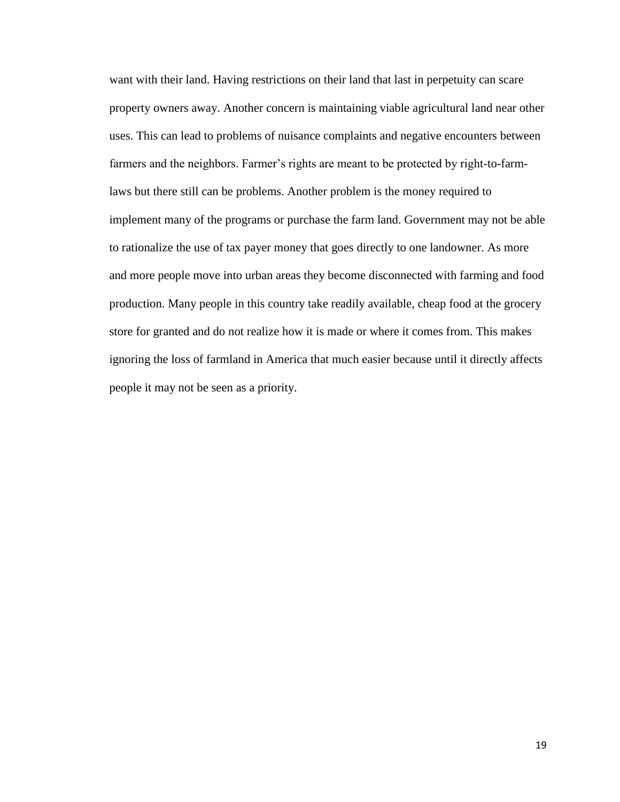want with their land. Having restrictions on their land that last in perpetuity can scare property owners away. Another concern is maintaining viable agricultural land near other uses. This can lead to problems of nuisance complaints and negative encounters between farmers and the neighbors. Farmer"s rights are meant to be protected by right-to-farmlaws but there still can be problems. Another problem is the money required to implement many of the programs or purchase the farm land. Government may not be able to rationalize the use of tax payer money that goes directly to one landowner. As more and more people move into urban areas they become disconnected with farming and food production. Many people in this country take readily available, cheap food at the grocery store for granted and do not realize how it is made or where it comes from. This makes ignoring the loss of farmland in America that much easier because until it directly affects people it may not be seen as a priority.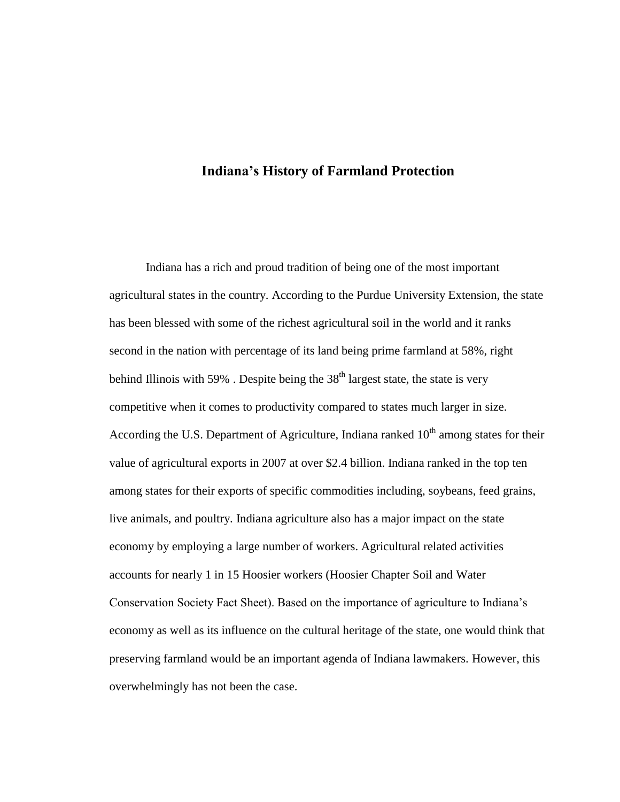# **Indiana's History of Farmland Protection**

Indiana has a rich and proud tradition of being one of the most important agricultural states in the country. According to the Purdue University Extension, the state has been blessed with some of the richest agricultural soil in the world and it ranks second in the nation with percentage of its land being prime farmland at 58%, right behind Illinois with 59%. Despite being the  $38<sup>th</sup>$  largest state, the state is very competitive when it comes to productivity compared to states much larger in size. According the U.S. Department of Agriculture, Indiana ranked  $10<sup>th</sup>$  among states for their value of agricultural exports in 2007 at over \$2.4 billion. Indiana ranked in the top ten among states for their exports of specific commodities including, soybeans, feed grains, live animals, and poultry. Indiana agriculture also has a major impact on the state economy by employing a large number of workers. Agricultural related activities accounts for nearly 1 in 15 Hoosier workers (Hoosier Chapter Soil and Water Conservation Society Fact Sheet). Based on the importance of agriculture to Indiana"s economy as well as its influence on the cultural heritage of the state, one would think that preserving farmland would be an important agenda of Indiana lawmakers. However, this overwhelmingly has not been the case.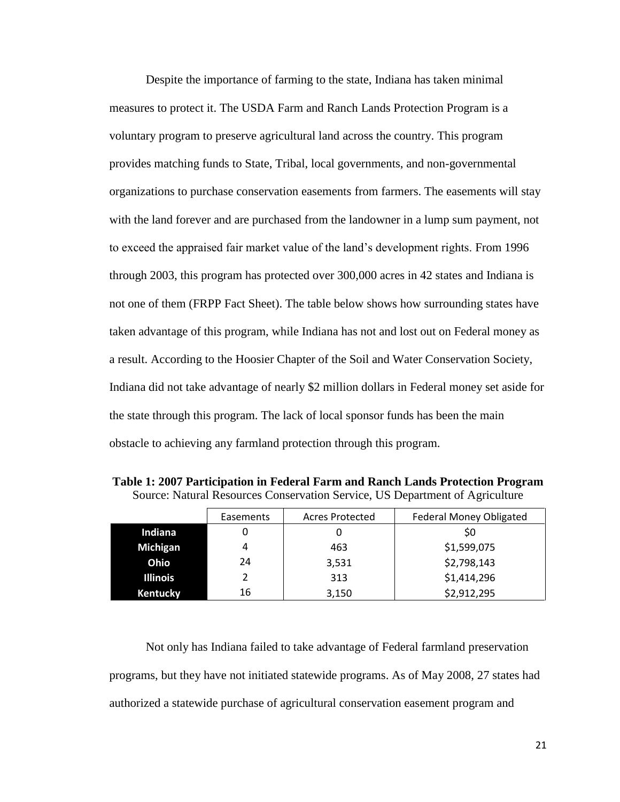Despite the importance of farming to the state, Indiana has taken minimal measures to protect it. The USDA Farm and Ranch Lands Protection Program is a voluntary program to preserve agricultural land across the country. This program provides matching funds to State, Tribal, local governments, and non-governmental organizations to purchase conservation easements from farmers. The easements will stay with the land forever and are purchased from the landowner in a lump sum payment, not to exceed the appraised fair market value of the land"s development rights. From 1996 through 2003, this program has protected over 300,000 acres in 42 states and Indiana is not one of them (FRPP Fact Sheet). The table below shows how surrounding states have taken advantage of this program, while Indiana has not and lost out on Federal money as a result. According to the Hoosier Chapter of the Soil and Water Conservation Society, Indiana did not take advantage of nearly \$2 million dollars in Federal money set aside for the state through this program. The lack of local sponsor funds has been the main obstacle to achieving any farmland protection through this program.

| Source: Natural Resources Conservation Service, US Department of Agriculture |           |                 |                                |
|------------------------------------------------------------------------------|-----------|-----------------|--------------------------------|
|                                                                              | Easements | Acres Protected | <b>Federal Money Obligated</b> |
|                                                                              |           |                 |                                |

**Table 1: 2007 Participation in Federal Farm and Ranch Lands Protection Program**

| Indiana         | 0  |       | \$0         |  |
|-----------------|----|-------|-------------|--|
| Michigan        | 4  | 463   | \$1,599,075 |  |
| Ohio            | 24 | 3,531 | \$2,798,143 |  |
| <b>Illinois</b> |    | 313   | \$1,414,296 |  |
| Kentucky        | 16 | 3,150 | \$2,912,295 |  |
|                 |    |       |             |  |

Not only has Indiana failed to take advantage of Federal farmland preservation programs, but they have not initiated statewide programs. As of May 2008, 27 states had authorized a statewide purchase of agricultural conservation easement program and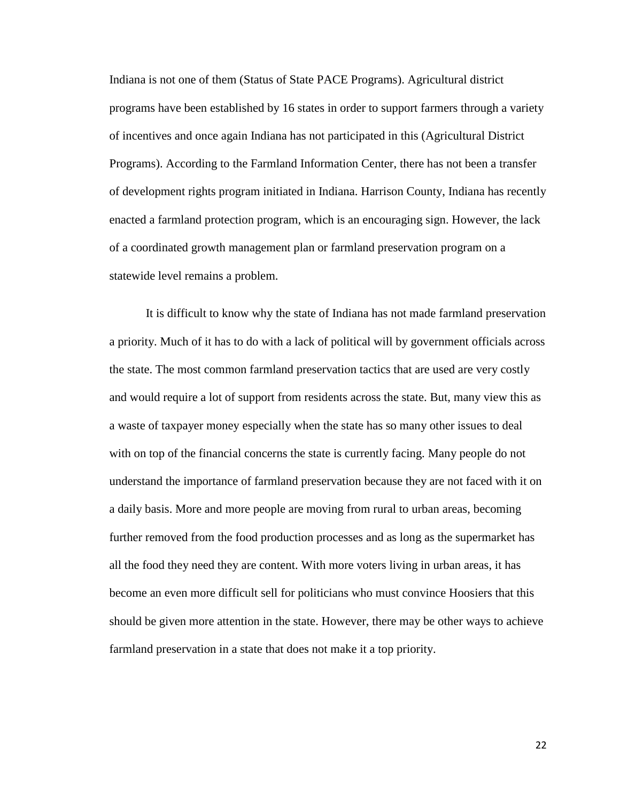Indiana is not one of them (Status of State PACE Programs). Agricultural district programs have been established by 16 states in order to support farmers through a variety of incentives and once again Indiana has not participated in this (Agricultural District Programs). According to the Farmland Information Center, there has not been a transfer of development rights program initiated in Indiana. Harrison County, Indiana has recently enacted a farmland protection program, which is an encouraging sign. However, the lack of a coordinated growth management plan or farmland preservation program on a statewide level remains a problem.

It is difficult to know why the state of Indiana has not made farmland preservation a priority. Much of it has to do with a lack of political will by government officials across the state. The most common farmland preservation tactics that are used are very costly and would require a lot of support from residents across the state. But, many view this as a waste of taxpayer money especially when the state has so many other issues to deal with on top of the financial concerns the state is currently facing. Many people do not understand the importance of farmland preservation because they are not faced with it on a daily basis. More and more people are moving from rural to urban areas, becoming further removed from the food production processes and as long as the supermarket has all the food they need they are content. With more voters living in urban areas, it has become an even more difficult sell for politicians who must convince Hoosiers that this should be given more attention in the state. However, there may be other ways to achieve farmland preservation in a state that does not make it a top priority.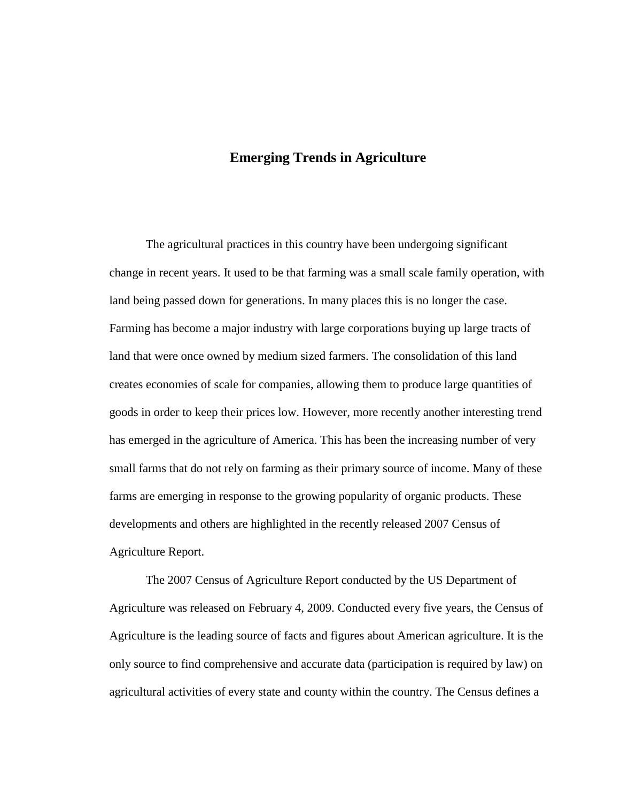# **Emerging Trends in Agriculture**

The agricultural practices in this country have been undergoing significant change in recent years. It used to be that farming was a small scale family operation, with land being passed down for generations. In many places this is no longer the case. Farming has become a major industry with large corporations buying up large tracts of land that were once owned by medium sized farmers. The consolidation of this land creates economies of scale for companies, allowing them to produce large quantities of goods in order to keep their prices low. However, more recently another interesting trend has emerged in the agriculture of America. This has been the increasing number of very small farms that do not rely on farming as their primary source of income. Many of these farms are emerging in response to the growing popularity of organic products. These developments and others are highlighted in the recently released 2007 Census of Agriculture Report.

The 2007 Census of Agriculture Report conducted by the US Department of Agriculture was released on February 4, 2009. Conducted every five years, the Census of Agriculture is the leading source of facts and figures about American agriculture. It is the only source to find comprehensive and accurate data (participation is required by law) on agricultural activities of every state and county within the country. The Census defines a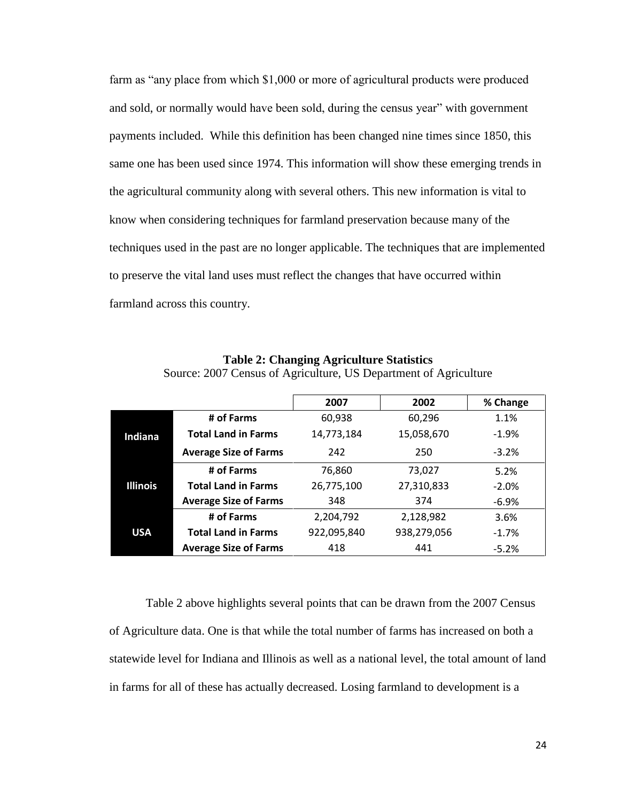farm as "any place from which \$1,000 or more of agricultural products were produced and sold, or normally would have been sold, during the census year" with government payments included. While this definition has been changed nine times since 1850, this same one has been used since 1974. This information will show these emerging trends in the agricultural community along with several others. This new information is vital to know when considering techniques for farmland preservation because many of the techniques used in the past are no longer applicable. The techniques that are implemented to preserve the vital land uses must reflect the changes that have occurred within farmland across this country.

|                 |                              | 2007        | 2002        | % Change |
|-----------------|------------------------------|-------------|-------------|----------|
| Indiana         | # of Farms                   | 60,938      | 60,296      | 1.1%     |
|                 | <b>Total Land in Farms</b>   | 14,773,184  | 15,058,670  | $-1.9\%$ |
|                 | <b>Average Size of Farms</b> | 242         | 250         | $-3.2%$  |
| <b>Illinois</b> | # of Farms                   | 76.860      | 73,027      | 5.2%     |
|                 | <b>Total Land in Farms</b>   | 26,775,100  | 27,310,833  | $-2.0%$  |
|                 | <b>Average Size of Farms</b> | 348         | 374         | $-6.9%$  |
| <b>USA</b>      | # of Farms                   | 2,204,792   | 2,128,982   | 3.6%     |
|                 | <b>Total Land in Farms</b>   | 922,095,840 | 938,279,056 | $-1.7%$  |
|                 | <b>Average Size of Farms</b> | 418         | 441         | $-5.2%$  |

**Table 2: Changing Agriculture Statistics** Source: 2007 Census of Agriculture, US Department of Agriculture

Table 2 above highlights several points that can be drawn from the 2007 Census of Agriculture data. One is that while the total number of farms has increased on both a statewide level for Indiana and Illinois as well as a national level, the total amount of land in farms for all of these has actually decreased. Losing farmland to development is a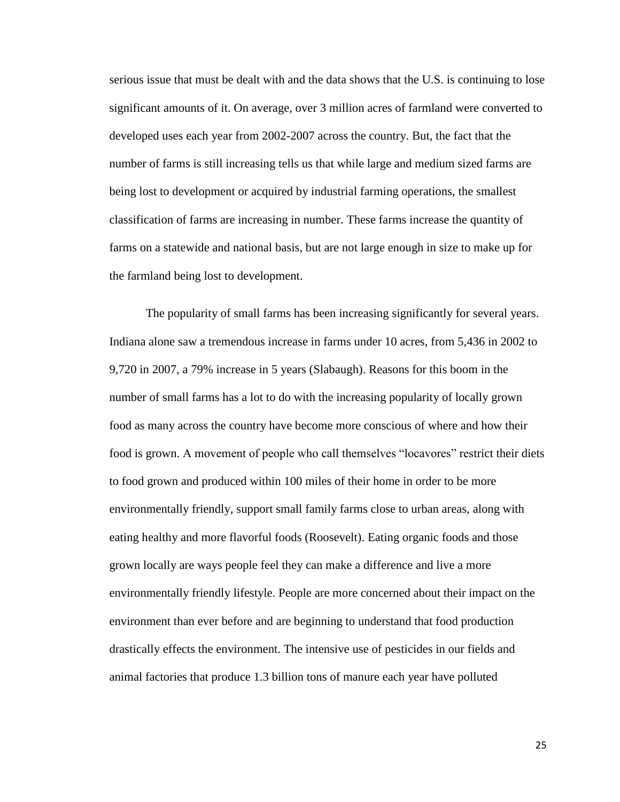serious issue that must be dealt with and the data shows that the U.S. is continuing to lose significant amounts of it. On average, over 3 million acres of farmland were converted to developed uses each year from 2002-2007 across the country. But, the fact that the number of farms is still increasing tells us that while large and medium sized farms are being lost to development or acquired by industrial farming operations, the smallest classification of farms are increasing in number. These farms increase the quantity of farms on a statewide and national basis, but are not large enough in size to make up for the farmland being lost to development.

The popularity of small farms has been increasing significantly for several years. Indiana alone saw a tremendous increase in farms under 10 acres, from 5,436 in 2002 to 9,720 in 2007, a 79% increase in 5 years (Slabaugh). Reasons for this boom in the number of small farms has a lot to do with the increasing popularity of locally grown food as many across the country have become more conscious of where and how their food is grown. A movement of people who call themselves "locavores" restrict their diets to food grown and produced within 100 miles of their home in order to be more environmentally friendly, support small family farms close to urban areas, along with eating healthy and more flavorful foods (Roosevelt). Eating organic foods and those grown locally are ways people feel they can make a difference and live a more environmentally friendly lifestyle. People are more concerned about their impact on the environment than ever before and are beginning to understand that food production drastically effects the environment. The intensive use of pesticides in our fields and animal factories that produce 1.3 billion tons of manure each year have polluted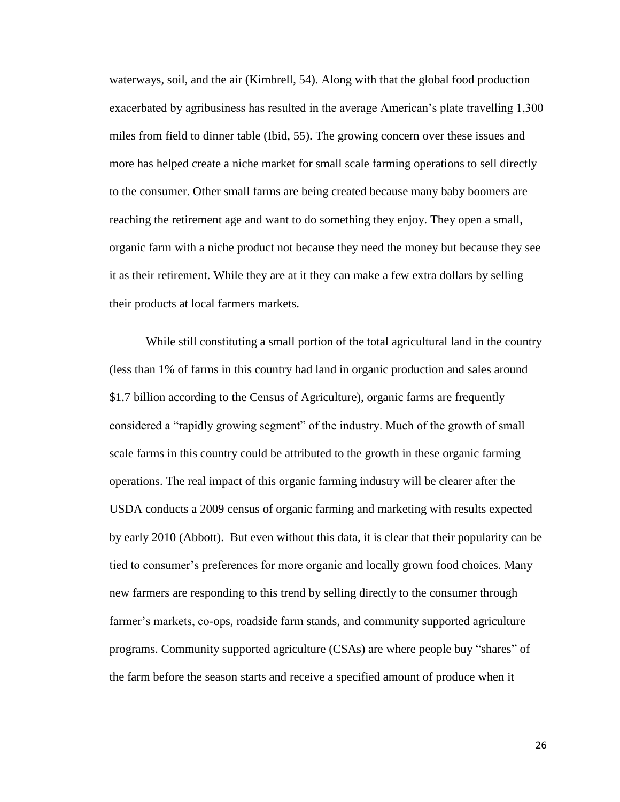waterways, soil, and the air (Kimbrell, 54). Along with that the global food production exacerbated by agribusiness has resulted in the average American's plate travelling 1,300 miles from field to dinner table (Ibid, 55). The growing concern over these issues and more has helped create a niche market for small scale farming operations to sell directly to the consumer. Other small farms are being created because many baby boomers are reaching the retirement age and want to do something they enjoy. They open a small, organic farm with a niche product not because they need the money but because they see it as their retirement. While they are at it they can make a few extra dollars by selling their products at local farmers markets.

While still constituting a small portion of the total agricultural land in the country (less than 1% of farms in this country had land in organic production and sales around \$1.7 billion according to the Census of Agriculture), organic farms are frequently considered a "rapidly growing segment" of the industry. Much of the growth of small scale farms in this country could be attributed to the growth in these organic farming operations. The real impact of this organic farming industry will be clearer after the USDA conducts a 2009 census of organic farming and marketing with results expected by early 2010 (Abbott). But even without this data, it is clear that their popularity can be tied to consumer"s preferences for more organic and locally grown food choices. Many new farmers are responding to this trend by selling directly to the consumer through farmer's markets, co-ops, roadside farm stands, and community supported agriculture programs. Community supported agriculture (CSAs) are where people buy "shares" of the farm before the season starts and receive a specified amount of produce when it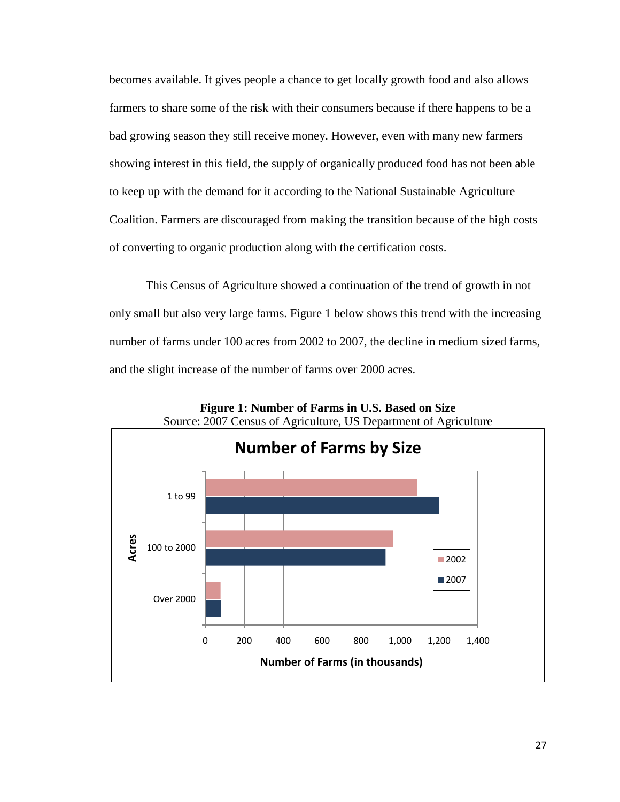becomes available. It gives people a chance to get locally growth food and also allows farmers to share some of the risk with their consumers because if there happens to be a bad growing season they still receive money. However, even with many new farmers showing interest in this field, the supply of organically produced food has not been able to keep up with the demand for it according to the National Sustainable Agriculture Coalition. Farmers are discouraged from making the transition because of the high costs of converting to organic production along with the certification costs.

This Census of Agriculture showed a continuation of the trend of growth in not only small but also very large farms. Figure 1 below shows this trend with the increasing number of farms under 100 acres from 2002 to 2007, the decline in medium sized farms, and the slight increase of the number of farms over 2000 acres.



**Figure 1: Number of Farms in U.S. Based on Size**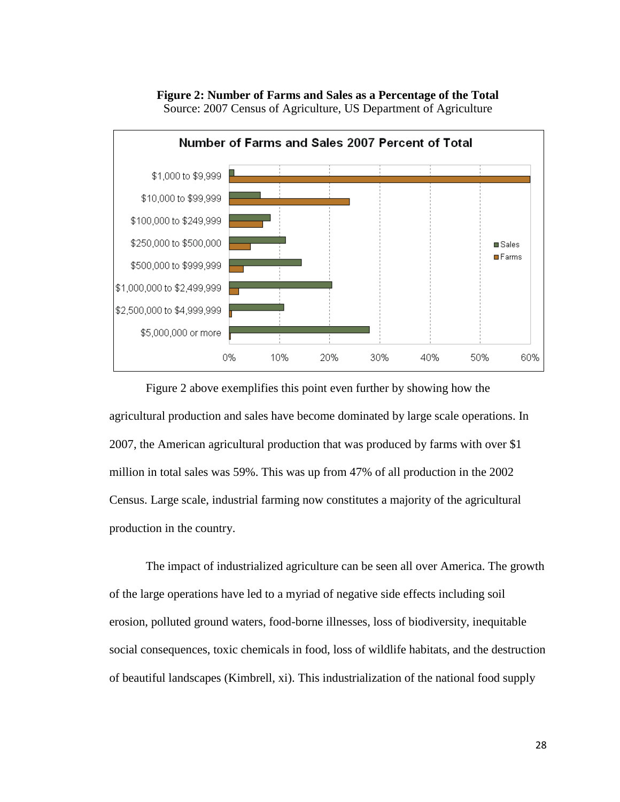

**Figure 2: Number of Farms and Sales as a Percentage of the Total** Source: 2007 Census of Agriculture, US Department of Agriculture

Figure 2 above exemplifies this point even further by showing how the agricultural production and sales have become dominated by large scale operations. In 2007, the American agricultural production that was produced by farms with over \$1 million in total sales was 59%. This was up from 47% of all production in the 2002 Census. Large scale, industrial farming now constitutes a majority of the agricultural production in the country.

The impact of industrialized agriculture can be seen all over America. The growth of the large operations have led to a myriad of negative side effects including soil erosion, polluted ground waters, food-borne illnesses, loss of biodiversity, inequitable social consequences, toxic chemicals in food, loss of wildlife habitats, and the destruction of beautiful landscapes (Kimbrell, xi). This industrialization of the national food supply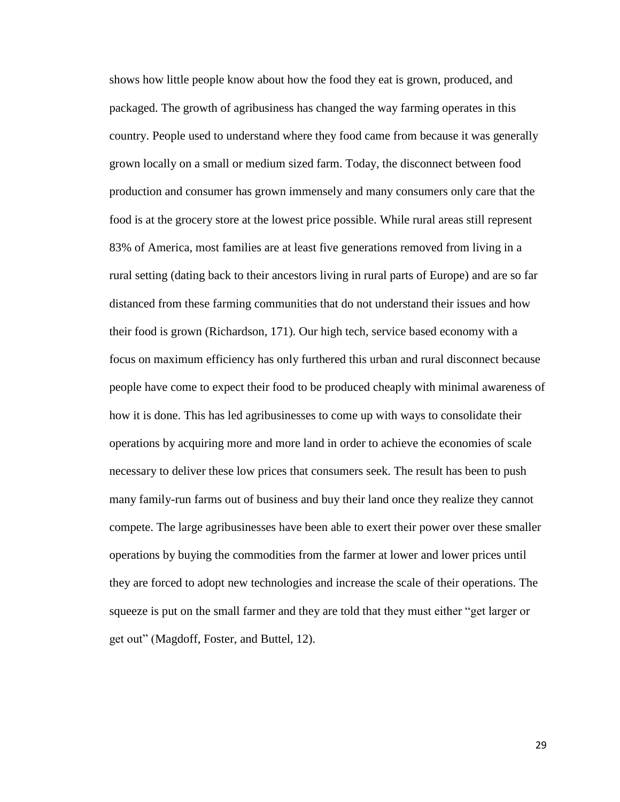shows how little people know about how the food they eat is grown, produced, and packaged. The growth of agribusiness has changed the way farming operates in this country. People used to understand where they food came from because it was generally grown locally on a small or medium sized farm. Today, the disconnect between food production and consumer has grown immensely and many consumers only care that the food is at the grocery store at the lowest price possible. While rural areas still represent 83% of America, most families are at least five generations removed from living in a rural setting (dating back to their ancestors living in rural parts of Europe) and are so far distanced from these farming communities that do not understand their issues and how their food is grown (Richardson, 171). Our high tech, service based economy with a focus on maximum efficiency has only furthered this urban and rural disconnect because people have come to expect their food to be produced cheaply with minimal awareness of how it is done. This has led agribusinesses to come up with ways to consolidate their operations by acquiring more and more land in order to achieve the economies of scale necessary to deliver these low prices that consumers seek. The result has been to push many family-run farms out of business and buy their land once they realize they cannot compete. The large agribusinesses have been able to exert their power over these smaller operations by buying the commodities from the farmer at lower and lower prices until they are forced to adopt new technologies and increase the scale of their operations. The squeeze is put on the small farmer and they are told that they must either "get larger or get out" (Magdoff, Foster, and Buttel, 12).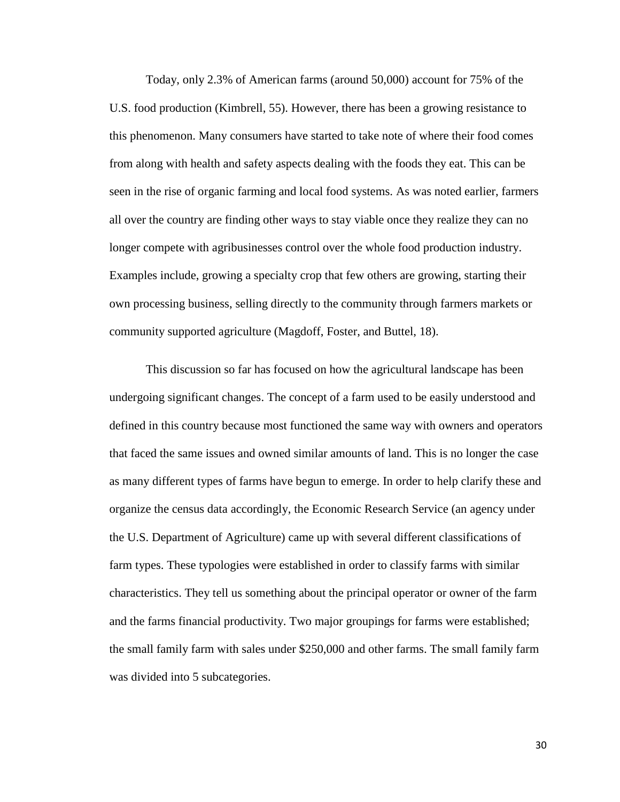Today, only 2.3% of American farms (around 50,000) account for 75% of the U.S. food production (Kimbrell, 55). However, there has been a growing resistance to this phenomenon. Many consumers have started to take note of where their food comes from along with health and safety aspects dealing with the foods they eat. This can be seen in the rise of organic farming and local food systems. As was noted earlier, farmers all over the country are finding other ways to stay viable once they realize they can no longer compete with agribusinesses control over the whole food production industry. Examples include, growing a specialty crop that few others are growing, starting their own processing business, selling directly to the community through farmers markets or community supported agriculture (Magdoff, Foster, and Buttel, 18).

This discussion so far has focused on how the agricultural landscape has been undergoing significant changes. The concept of a farm used to be easily understood and defined in this country because most functioned the same way with owners and operators that faced the same issues and owned similar amounts of land. This is no longer the case as many different types of farms have begun to emerge. In order to help clarify these and organize the census data accordingly, the Economic Research Service (an agency under the U.S. Department of Agriculture) came up with several different classifications of farm types. These typologies were established in order to classify farms with similar characteristics. They tell us something about the principal operator or owner of the farm and the farms financial productivity. Two major groupings for farms were established; the small family farm with sales under \$250,000 and other farms. The small family farm was divided into 5 subcategories.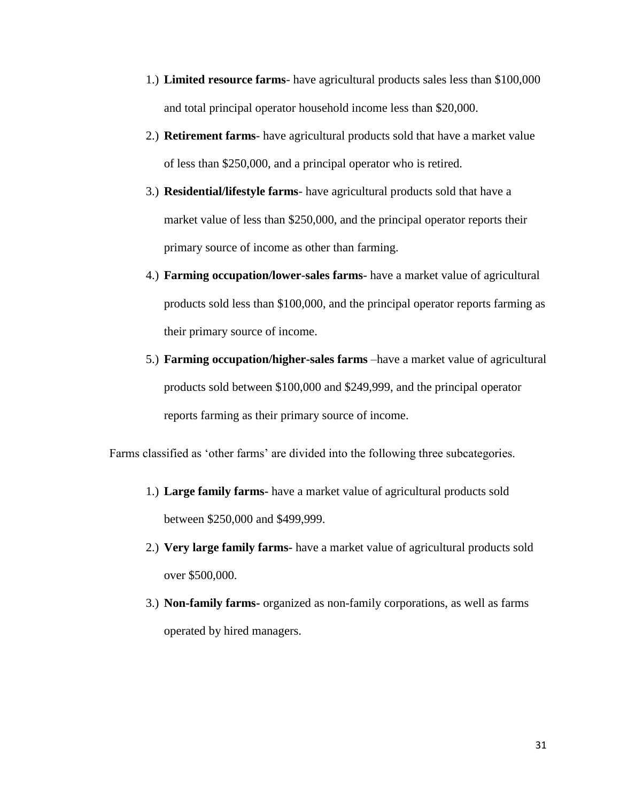- 1.) **Limited resource farms** have agricultural products sales less than \$100,000 and total principal operator household income less than \$20,000.
- 2.) **Retirement farms** have agricultural products sold that have a market value of less than \$250,000, and a principal operator who is retired.
- 3.) **Residential/lifestyle farms** have agricultural products sold that have a market value of less than \$250,000, and the principal operator reports their primary source of income as other than farming.
- 4.) **Farming occupation/lower-sales farms** have a market value of agricultural products sold less than \$100,000, and the principal operator reports farming as their primary source of income.
- 5.) **Farming occupation/higher-sales farms** –have a market value of agricultural products sold between \$100,000 and \$249,999, and the principal operator reports farming as their primary source of income.

Farms classified as 'other farms' are divided into the following three subcategories.

- 1.) **Large family farms-** have a market value of agricultural products sold between \$250,000 and \$499,999.
- 2.) **Very large family farms-** have a market value of agricultural products sold over \$500,000.
- 3.) **Non-family farms-** organized as non-family corporations, as well as farms operated by hired managers.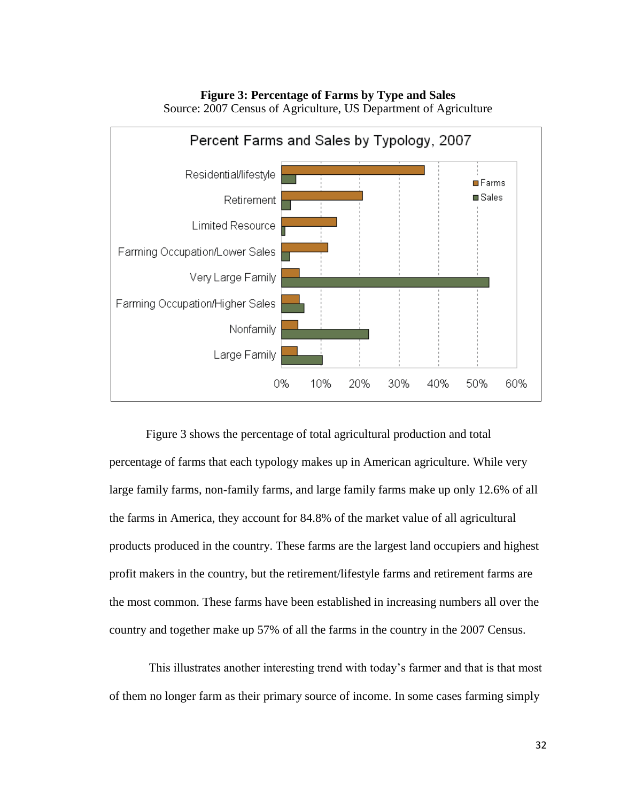**Figure 3: Percentage of Farms by Type and Sales** 



Source: 2007 Census of Agriculture, US Department of Agriculture

Figure 3 shows the percentage of total agricultural production and total percentage of farms that each typology makes up in American agriculture. While very large family farms, non-family farms, and large family farms make up only 12.6% of all the farms in America, they account for 84.8% of the market value of all agricultural products produced in the country. These farms are the largest land occupiers and highest profit makers in the country, but the retirement/lifestyle farms and retirement farms are the most common. These farms have been established in increasing numbers all over the country and together make up 57% of all the farms in the country in the 2007 Census.

This illustrates another interesting trend with today"s farmer and that is that most of them no longer farm as their primary source of income. In some cases farming simply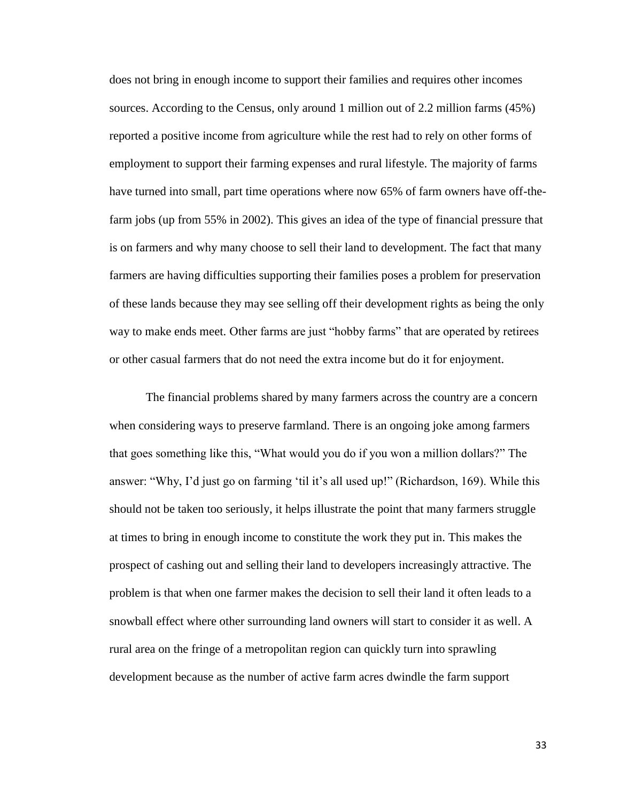does not bring in enough income to support their families and requires other incomes sources. According to the Census, only around 1 million out of 2.2 million farms (45%) reported a positive income from agriculture while the rest had to rely on other forms of employment to support their farming expenses and rural lifestyle. The majority of farms have turned into small, part time operations where now 65% of farm owners have off-thefarm jobs (up from 55% in 2002). This gives an idea of the type of financial pressure that is on farmers and why many choose to sell their land to development. The fact that many farmers are having difficulties supporting their families poses a problem for preservation of these lands because they may see selling off their development rights as being the only way to make ends meet. Other farms are just "hobby farms" that are operated by retirees or other casual farmers that do not need the extra income but do it for enjoyment.

The financial problems shared by many farmers across the country are a concern when considering ways to preserve farmland. There is an ongoing joke among farmers that goes something like this, "What would you do if you won a million dollars?" The answer: "Why, I'd just go on farming 'til it's all used up!" (Richardson, 169). While this should not be taken too seriously, it helps illustrate the point that many farmers struggle at times to bring in enough income to constitute the work they put in. This makes the prospect of cashing out and selling their land to developers increasingly attractive. The problem is that when one farmer makes the decision to sell their land it often leads to a snowball effect where other surrounding land owners will start to consider it as well. A rural area on the fringe of a metropolitan region can quickly turn into sprawling development because as the number of active farm acres dwindle the farm support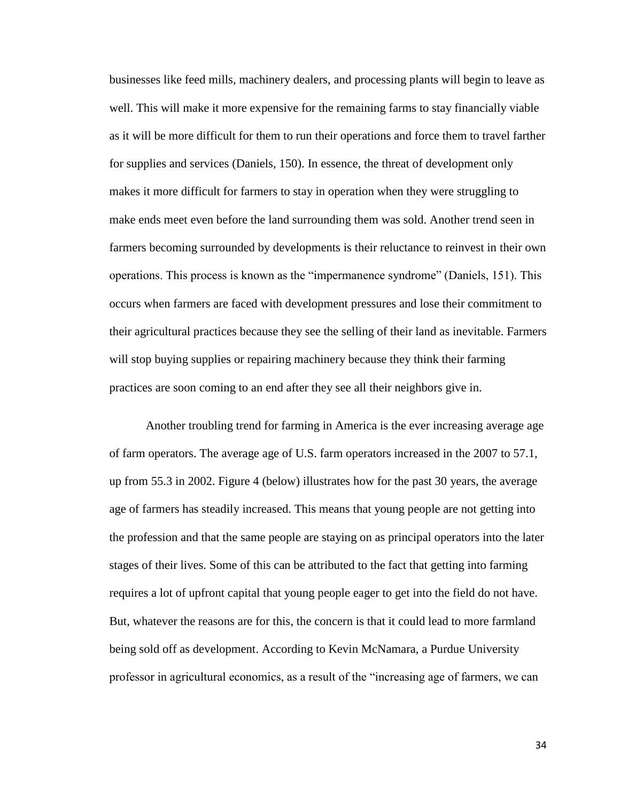businesses like feed mills, machinery dealers, and processing plants will begin to leave as well. This will make it more expensive for the remaining farms to stay financially viable as it will be more difficult for them to run their operations and force them to travel farther for supplies and services (Daniels, 150). In essence, the threat of development only makes it more difficult for farmers to stay in operation when they were struggling to make ends meet even before the land surrounding them was sold. Another trend seen in farmers becoming surrounded by developments is their reluctance to reinvest in their own operations. This process is known as the "impermanence syndrome" (Daniels, 151). This occurs when farmers are faced with development pressures and lose their commitment to their agricultural practices because they see the selling of their land as inevitable. Farmers will stop buying supplies or repairing machinery because they think their farming practices are soon coming to an end after they see all their neighbors give in.

Another troubling trend for farming in America is the ever increasing average age of farm operators. The average age of U.S. farm operators increased in the 2007 to 57.1, up from 55.3 in 2002. Figure 4 (below) illustrates how for the past 30 years, the average age of farmers has steadily increased. This means that young people are not getting into the profession and that the same people are staying on as principal operators into the later stages of their lives. Some of this can be attributed to the fact that getting into farming requires a lot of upfront capital that young people eager to get into the field do not have. But, whatever the reasons are for this, the concern is that it could lead to more farmland being sold off as development. According to Kevin McNamara, a Purdue University professor in agricultural economics, as a result of the "increasing age of farmers, we can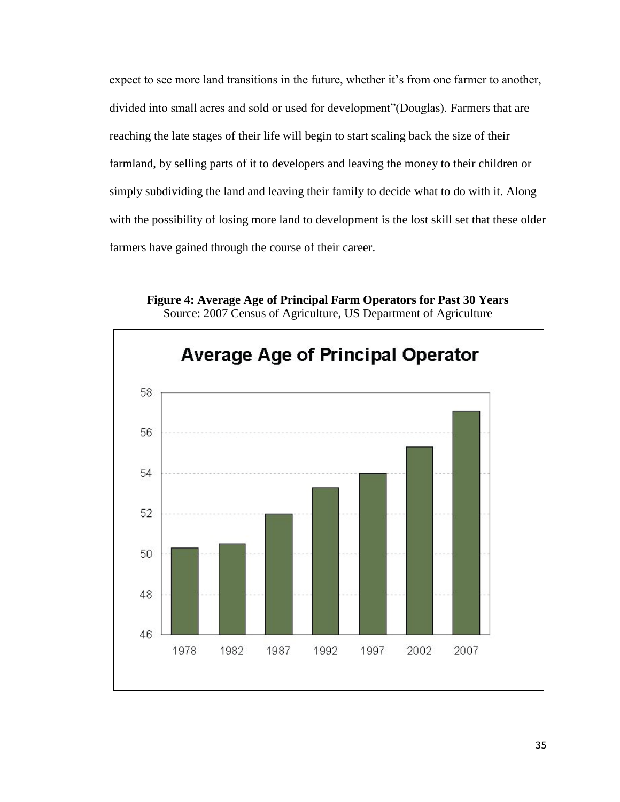expect to see more land transitions in the future, whether it's from one farmer to another, divided into small acres and sold or used for development"(Douglas). Farmers that are reaching the late stages of their life will begin to start scaling back the size of their farmland, by selling parts of it to developers and leaving the money to their children or simply subdividing the land and leaving their family to decide what to do with it. Along with the possibility of losing more land to development is the lost skill set that these older farmers have gained through the course of their career.

**Figure 4: Average Age of Principal Farm Operators for Past 30 Years** Source: 2007 Census of Agriculture, US Department of Agriculture

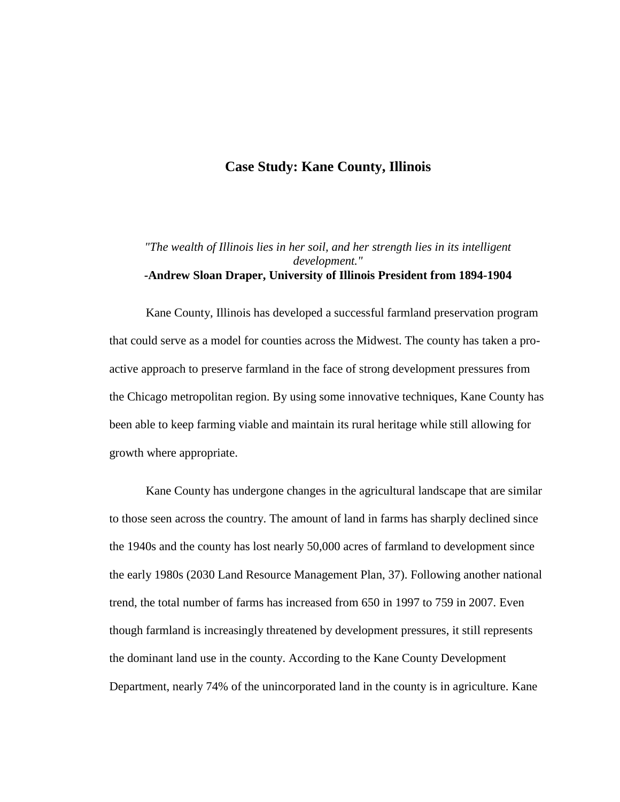# **Case Study: Kane County, Illinois**

### *"The wealth of Illinois lies in her soil, and her strength lies in its intelligent development."* **-Andrew Sloan Draper, University of Illinois President from 1894-1904**

Kane County, Illinois has developed a successful farmland preservation program that could serve as a model for counties across the Midwest. The county has taken a proactive approach to preserve farmland in the face of strong development pressures from the Chicago metropolitan region. By using some innovative techniques, Kane County has been able to keep farming viable and maintain its rural heritage while still allowing for growth where appropriate.

Kane County has undergone changes in the agricultural landscape that are similar to those seen across the country. The amount of land in farms has sharply declined since the 1940s and the county has lost nearly 50,000 acres of farmland to development since the early 1980s (2030 Land Resource Management Plan, 37). Following another national trend, the total number of farms has increased from 650 in 1997 to 759 in 2007. Even though farmland is increasingly threatened by development pressures, it still represents the dominant land use in the county. According to the Kane County Development Department, nearly 74% of the unincorporated land in the county is in agriculture. Kane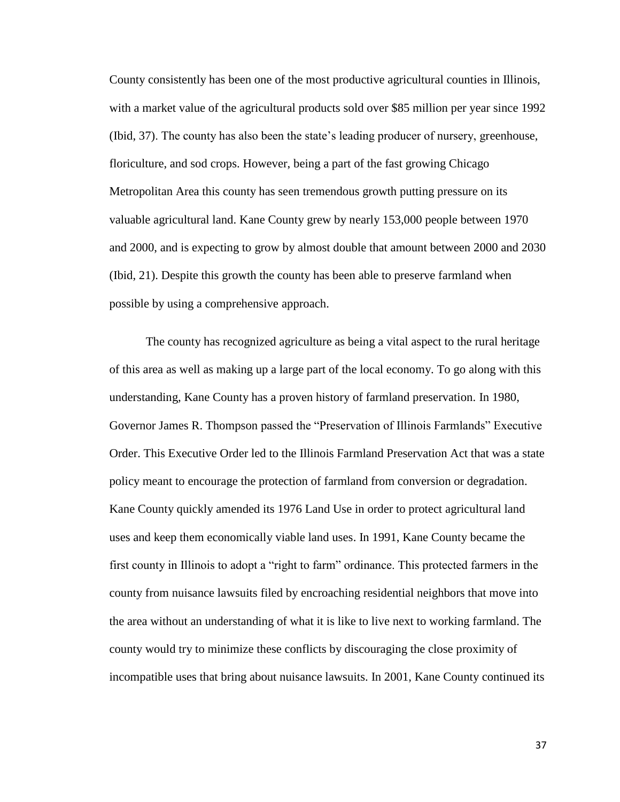County consistently has been one of the most productive agricultural counties in Illinois, with a market value of the agricultural products sold over \$85 million per year since 1992 (Ibid, 37). The county has also been the state"s leading producer of nursery, greenhouse, floriculture, and sod crops. However, being a part of the fast growing Chicago Metropolitan Area this county has seen tremendous growth putting pressure on its valuable agricultural land. Kane County grew by nearly 153,000 people between 1970 and 2000, and is expecting to grow by almost double that amount between 2000 and 2030 (Ibid, 21). Despite this growth the county has been able to preserve farmland when possible by using a comprehensive approach.

The county has recognized agriculture as being a vital aspect to the rural heritage of this area as well as making up a large part of the local economy. To go along with this understanding, Kane County has a proven history of farmland preservation. In 1980, Governor James R. Thompson passed the "Preservation of Illinois Farmlands" Executive Order. This Executive Order led to the Illinois Farmland Preservation Act that was a state policy meant to encourage the protection of farmland from conversion or degradation. Kane County quickly amended its 1976 Land Use in order to protect agricultural land uses and keep them economically viable land uses. In 1991, Kane County became the first county in Illinois to adopt a "right to farm" ordinance. This protected farmers in the county from nuisance lawsuits filed by encroaching residential neighbors that move into the area without an understanding of what it is like to live next to working farmland. The county would try to minimize these conflicts by discouraging the close proximity of incompatible uses that bring about nuisance lawsuits. In 2001, Kane County continued its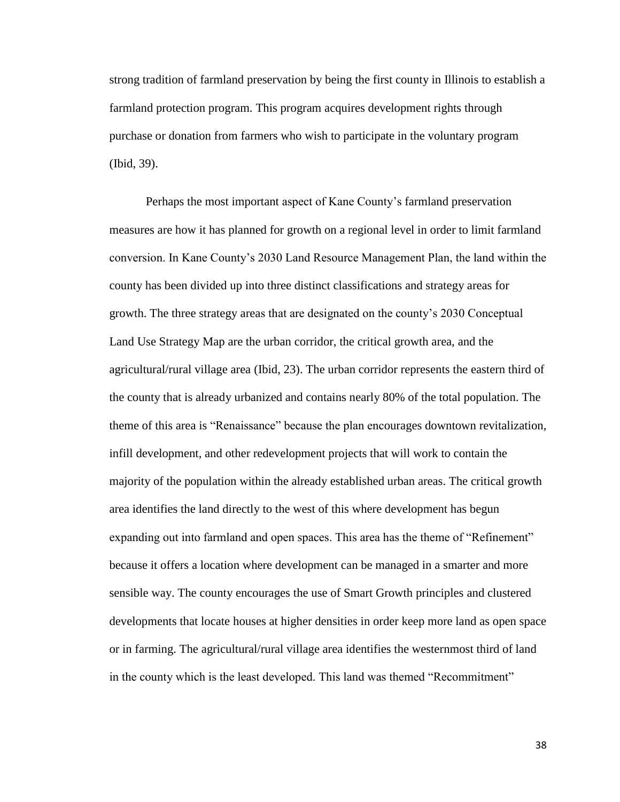strong tradition of farmland preservation by being the first county in Illinois to establish a farmland protection program. This program acquires development rights through purchase or donation from farmers who wish to participate in the voluntary program (Ibid, 39).

Perhaps the most important aspect of Kane County"s farmland preservation measures are how it has planned for growth on a regional level in order to limit farmland conversion. In Kane County"s 2030 Land Resource Management Plan, the land within the county has been divided up into three distinct classifications and strategy areas for growth. The three strategy areas that are designated on the county"s 2030 Conceptual Land Use Strategy Map are the urban corridor, the critical growth area, and the agricultural/rural village area (Ibid, 23). The urban corridor represents the eastern third of the county that is already urbanized and contains nearly 80% of the total population. The theme of this area is "Renaissance" because the plan encourages downtown revitalization, infill development, and other redevelopment projects that will work to contain the majority of the population within the already established urban areas. The critical growth area identifies the land directly to the west of this where development has begun expanding out into farmland and open spaces. This area has the theme of "Refinement" because it offers a location where development can be managed in a smarter and more sensible way. The county encourages the use of Smart Growth principles and clustered developments that locate houses at higher densities in order keep more land as open space or in farming. The agricultural/rural village area identifies the westernmost third of land in the county which is the least developed. This land was themed "Recommitment"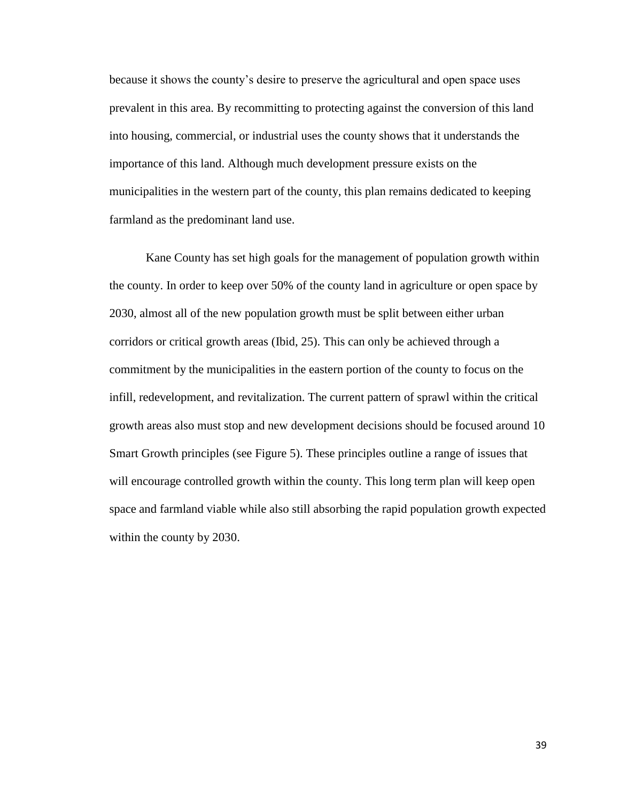because it shows the county"s desire to preserve the agricultural and open space uses prevalent in this area. By recommitting to protecting against the conversion of this land into housing, commercial, or industrial uses the county shows that it understands the importance of this land. Although much development pressure exists on the municipalities in the western part of the county, this plan remains dedicated to keeping farmland as the predominant land use.

Kane County has set high goals for the management of population growth within the county. In order to keep over 50% of the county land in agriculture or open space by 2030, almost all of the new population growth must be split between either urban corridors or critical growth areas (Ibid, 25). This can only be achieved through a commitment by the municipalities in the eastern portion of the county to focus on the infill, redevelopment, and revitalization. The current pattern of sprawl within the critical growth areas also must stop and new development decisions should be focused around 10 Smart Growth principles (see Figure 5). These principles outline a range of issues that will encourage controlled growth within the county. This long term plan will keep open space and farmland viable while also still absorbing the rapid population growth expected within the county by 2030.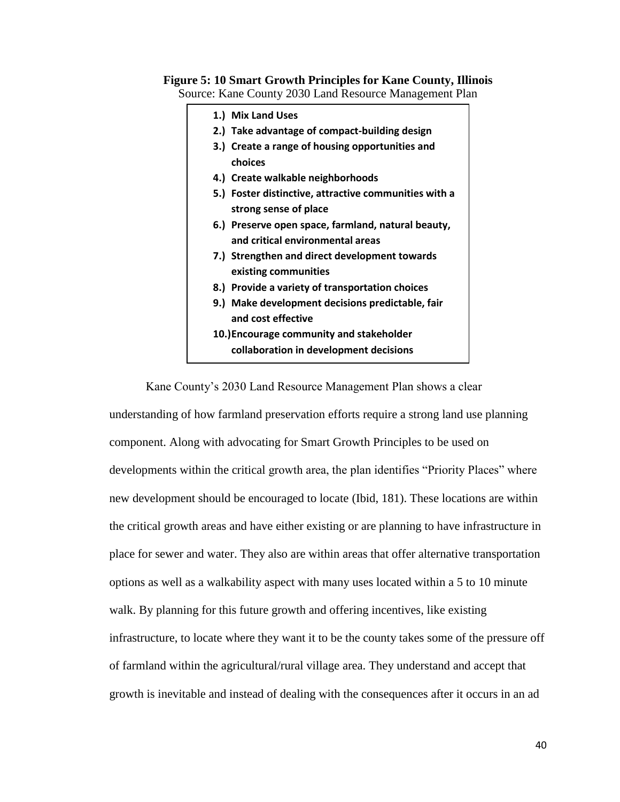# **Figure 5: 10 Smart Growth Principles for Kane County, Illinois**

Source: Kane County 2030 Land Resource Management Plan



Kane County"s 2030 Land Resource Management Plan shows a clear

understanding of how farmland preservation efforts require a strong land use planning component. Along with advocating for Smart Growth Principles to be used on developments within the critical growth area, the plan identifies "Priority Places" where new development should be encouraged to locate (Ibid, 181). These locations are within the critical growth areas and have either existing or are planning to have infrastructure in place for sewer and water. They also are within areas that offer alternative transportation options as well as a walkability aspect with many uses located within a 5 to 10 minute walk. By planning for this future growth and offering incentives, like existing infrastructure, to locate where they want it to be the county takes some of the pressure off of farmland within the agricultural/rural village area. They understand and accept that growth is inevitable and instead of dealing with the consequences after it occurs in an ad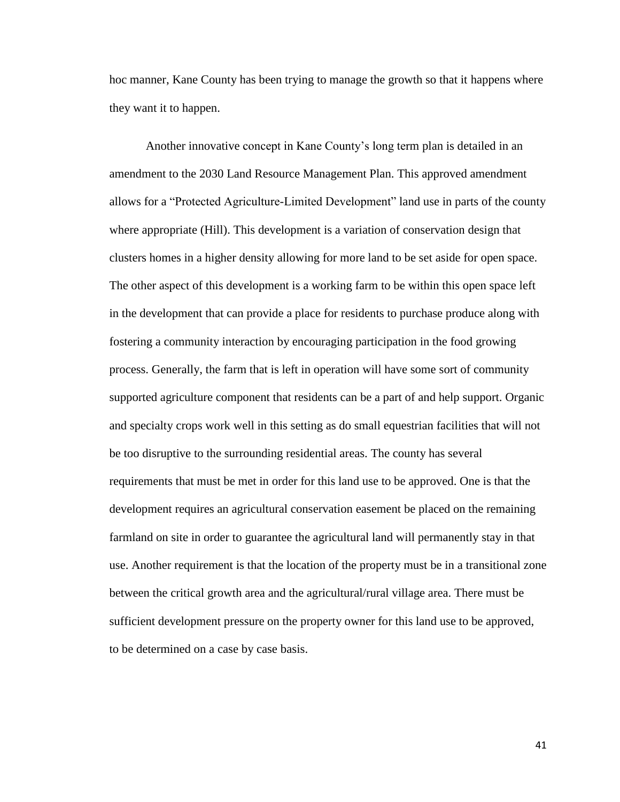hoc manner, Kane County has been trying to manage the growth so that it happens where they want it to happen.

Another innovative concept in Kane County"s long term plan is detailed in an amendment to the 2030 Land Resource Management Plan. This approved amendment allows for a "Protected Agriculture-Limited Development" land use in parts of the county where appropriate (Hill). This development is a variation of conservation design that clusters homes in a higher density allowing for more land to be set aside for open space. The other aspect of this development is a working farm to be within this open space left in the development that can provide a place for residents to purchase produce along with fostering a community interaction by encouraging participation in the food growing process. Generally, the farm that is left in operation will have some sort of community supported agriculture component that residents can be a part of and help support. Organic and specialty crops work well in this setting as do small equestrian facilities that will not be too disruptive to the surrounding residential areas. The county has several requirements that must be met in order for this land use to be approved. One is that the development requires an agricultural conservation easement be placed on the remaining farmland on site in order to guarantee the agricultural land will permanently stay in that use. Another requirement is that the location of the property must be in a transitional zone between the critical growth area and the agricultural/rural village area. There must be sufficient development pressure on the property owner for this land use to be approved, to be determined on a case by case basis.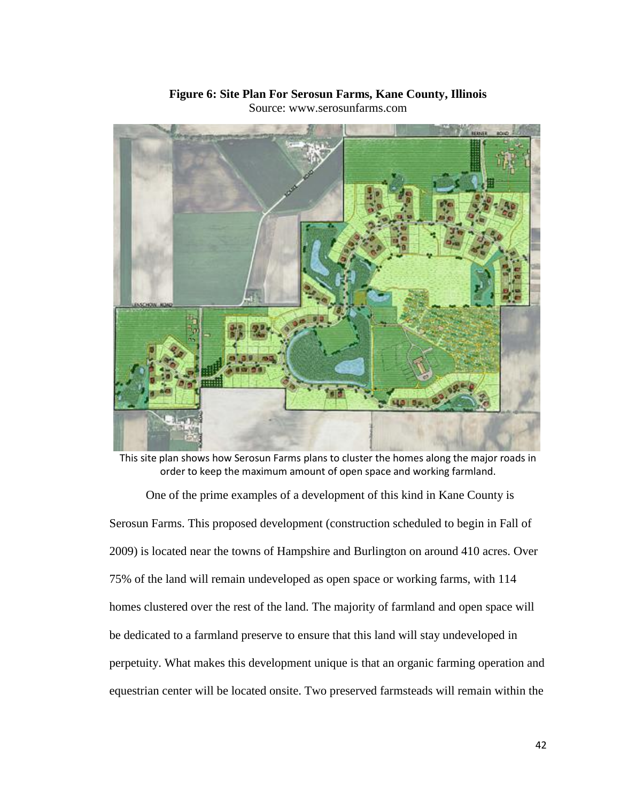

#### **Figure 6: Site Plan For Serosun Farms, Kane County, Illinois** Source: www.serosunfarms.com

This site plan shows how Serosun Farms plans to cluster the homes along the major roads in order to keep the maximum amount of open space and working farmland.

One of the prime examples of a development of this kind in Kane County is Serosun Farms. This proposed development (construction scheduled to begin in Fall of 2009) is located near the towns of Hampshire and Burlington on around 410 acres. Over 75% of the land will remain undeveloped as open space or working farms, with 114 homes clustered over the rest of the land. The majority of farmland and open space will be dedicated to a farmland preserve to ensure that this land will stay undeveloped in perpetuity. What makes this development unique is that an organic farming operation and equestrian center will be located onsite. Two preserved farmsteads will remain within the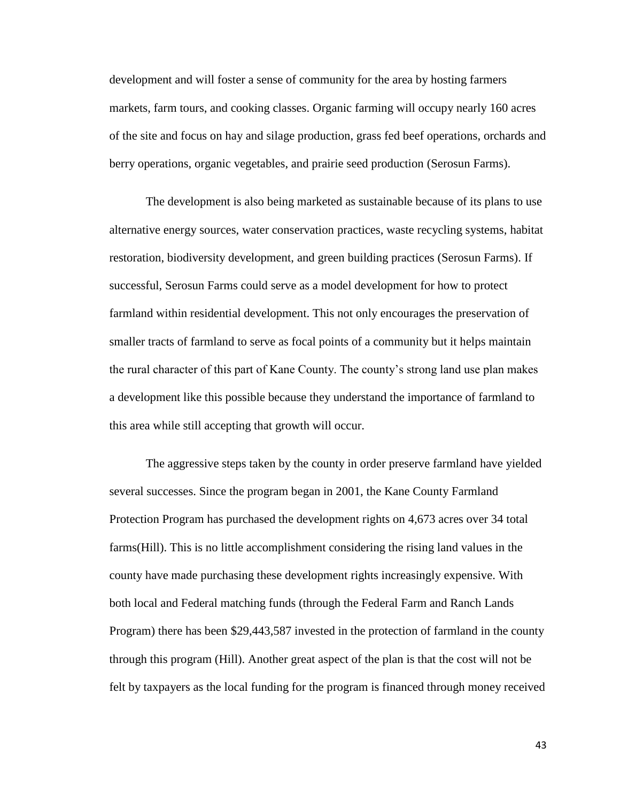development and will foster a sense of community for the area by hosting farmers markets, farm tours, and cooking classes. Organic farming will occupy nearly 160 acres of the site and focus on hay and silage production, grass fed beef operations, orchards and berry operations, organic vegetables, and prairie seed production (Serosun Farms).

The development is also being marketed as sustainable because of its plans to use alternative energy sources, water conservation practices, waste recycling systems, habitat restoration, biodiversity development, and green building practices (Serosun Farms). If successful, Serosun Farms could serve as a model development for how to protect farmland within residential development. This not only encourages the preservation of smaller tracts of farmland to serve as focal points of a community but it helps maintain the rural character of this part of Kane County. The county"s strong land use plan makes a development like this possible because they understand the importance of farmland to this area while still accepting that growth will occur.

The aggressive steps taken by the county in order preserve farmland have yielded several successes. Since the program began in 2001, the Kane County Farmland Protection Program has purchased the development rights on 4,673 acres over 34 total farms(Hill). This is no little accomplishment considering the rising land values in the county have made purchasing these development rights increasingly expensive. With both local and Federal matching funds (through the Federal Farm and Ranch Lands Program) there has been \$29,443,587 invested in the protection of farmland in the county through this program (Hill). Another great aspect of the plan is that the cost will not be felt by taxpayers as the local funding for the program is financed through money received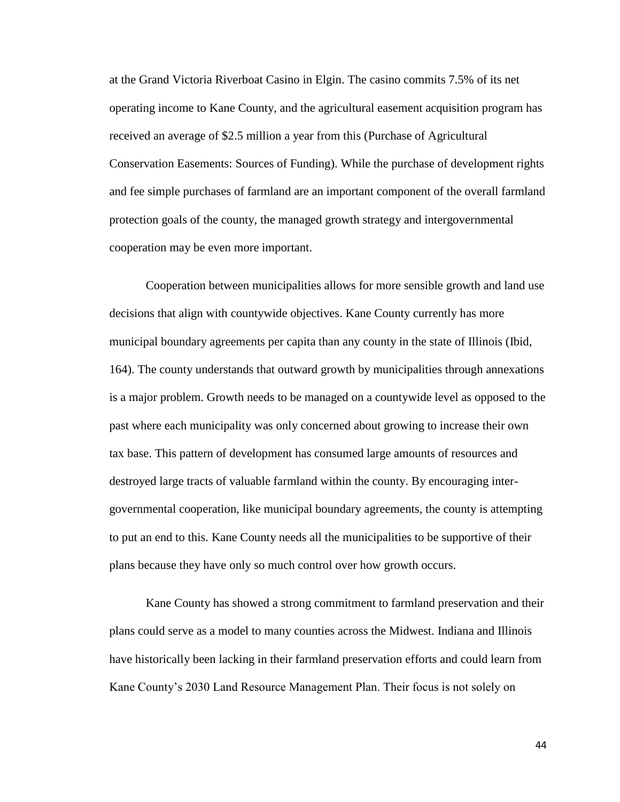at the Grand Victoria Riverboat Casino in Elgin. The casino commits 7.5% of its net operating income to Kane County, and the agricultural easement acquisition program has received an average of \$2.5 million a year from this (Purchase of Agricultural Conservation Easements: Sources of Funding). While the purchase of development rights and fee simple purchases of farmland are an important component of the overall farmland protection goals of the county, the managed growth strategy and intergovernmental cooperation may be even more important.

Cooperation between municipalities allows for more sensible growth and land use decisions that align with countywide objectives. Kane County currently has more municipal boundary agreements per capita than any county in the state of Illinois (Ibid, 164). The county understands that outward growth by municipalities through annexations is a major problem. Growth needs to be managed on a countywide level as opposed to the past where each municipality was only concerned about growing to increase their own tax base. This pattern of development has consumed large amounts of resources and destroyed large tracts of valuable farmland within the county. By encouraging intergovernmental cooperation, like municipal boundary agreements, the county is attempting to put an end to this. Kane County needs all the municipalities to be supportive of their plans because they have only so much control over how growth occurs.

Kane County has showed a strong commitment to farmland preservation and their plans could serve as a model to many counties across the Midwest. Indiana and Illinois have historically been lacking in their farmland preservation efforts and could learn from Kane County"s 2030 Land Resource Management Plan. Their focus is not solely on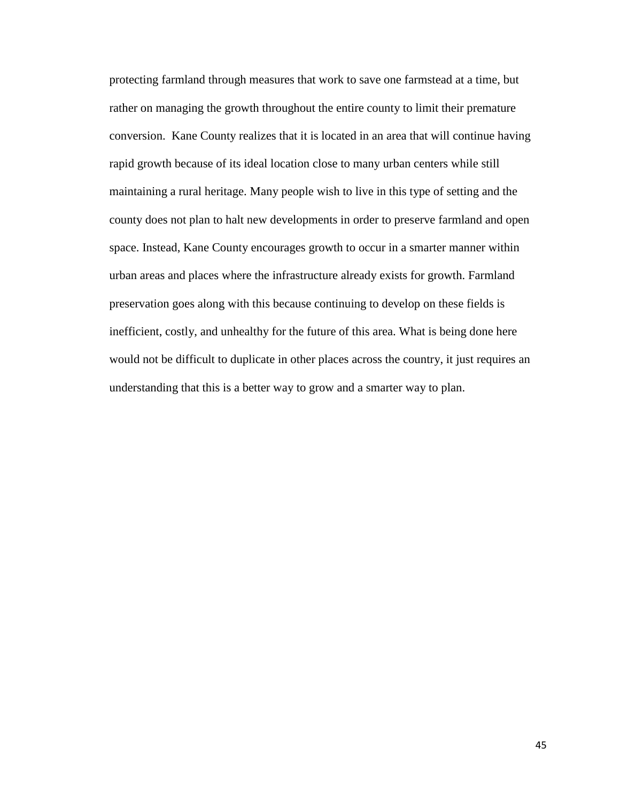protecting farmland through measures that work to save one farmstead at a time, but rather on managing the growth throughout the entire county to limit their premature conversion. Kane County realizes that it is located in an area that will continue having rapid growth because of its ideal location close to many urban centers while still maintaining a rural heritage. Many people wish to live in this type of setting and the county does not plan to halt new developments in order to preserve farmland and open space. Instead, Kane County encourages growth to occur in a smarter manner within urban areas and places where the infrastructure already exists for growth. Farmland preservation goes along with this because continuing to develop on these fields is inefficient, costly, and unhealthy for the future of this area. What is being done here would not be difficult to duplicate in other places across the country, it just requires an understanding that this is a better way to grow and a smarter way to plan.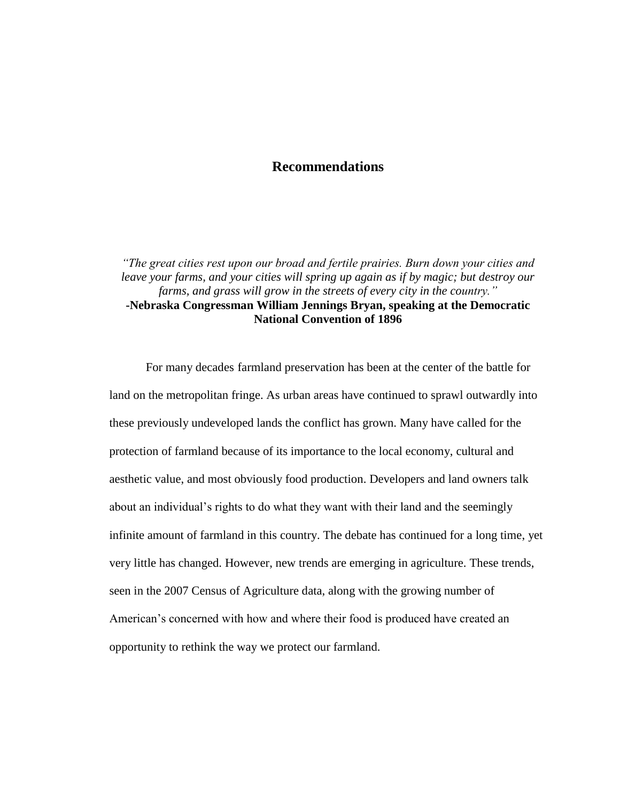## **Recommendations**

*"The great cities rest upon our broad and fertile prairies. Burn down your cities and leave your farms, and your cities will spring up again as if by magic; but destroy our farms, and grass will grow in the streets of every city in the country."* **-Nebraska Congressman William Jennings Bryan, speaking at the Democratic National Convention of 1896**

For many decades farmland preservation has been at the center of the battle for land on the metropolitan fringe. As urban areas have continued to sprawl outwardly into these previously undeveloped lands the conflict has grown. Many have called for the protection of farmland because of its importance to the local economy, cultural and aesthetic value, and most obviously food production. Developers and land owners talk about an individual"s rights to do what they want with their land and the seemingly infinite amount of farmland in this country. The debate has continued for a long time, yet very little has changed. However, new trends are emerging in agriculture. These trends, seen in the 2007 Census of Agriculture data, along with the growing number of American"s concerned with how and where their food is produced have created an opportunity to rethink the way we protect our farmland.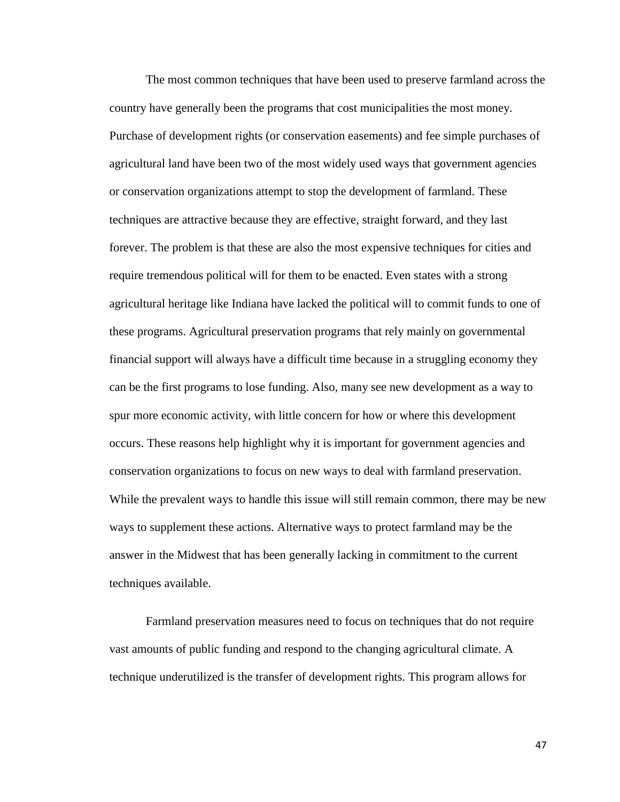The most common techniques that have been used to preserve farmland across the country have generally been the programs that cost municipalities the most money. Purchase of development rights (or conservation easements) and fee simple purchases of agricultural land have been two of the most widely used ways that government agencies or conservation organizations attempt to stop the development of farmland. These techniques are attractive because they are effective, straight forward, and they last forever. The problem is that these are also the most expensive techniques for cities and require tremendous political will for them to be enacted. Even states with a strong agricultural heritage like Indiana have lacked the political will to commit funds to one of these programs. Agricultural preservation programs that rely mainly on governmental financial support will always have a difficult time because in a struggling economy they can be the first programs to lose funding. Also, many see new development as a way to spur more economic activity, with little concern for how or where this development occurs. These reasons help highlight why it is important for government agencies and conservation organizations to focus on new ways to deal with farmland preservation. While the prevalent ways to handle this issue will still remain common, there may be new ways to supplement these actions. Alternative ways to protect farmland may be the answer in the Midwest that has been generally lacking in commitment to the current techniques available.

Farmland preservation measures need to focus on techniques that do not require vast amounts of public funding and respond to the changing agricultural climate. A technique underutilized is the transfer of development rights. This program allows for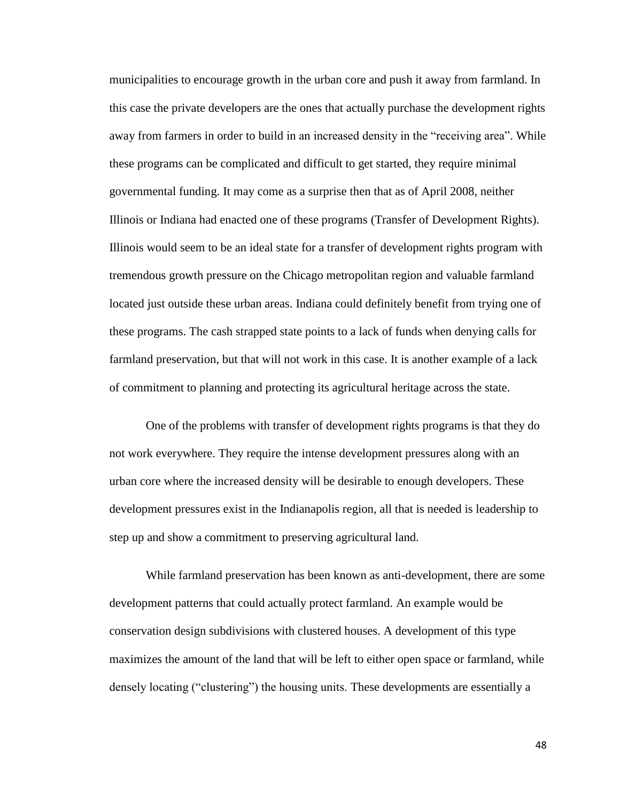municipalities to encourage growth in the urban core and push it away from farmland. In this case the private developers are the ones that actually purchase the development rights away from farmers in order to build in an increased density in the "receiving area". While these programs can be complicated and difficult to get started, they require minimal governmental funding. It may come as a surprise then that as of April 2008, neither Illinois or Indiana had enacted one of these programs (Transfer of Development Rights). Illinois would seem to be an ideal state for a transfer of development rights program with tremendous growth pressure on the Chicago metropolitan region and valuable farmland located just outside these urban areas. Indiana could definitely benefit from trying one of these programs. The cash strapped state points to a lack of funds when denying calls for farmland preservation, but that will not work in this case. It is another example of a lack of commitment to planning and protecting its agricultural heritage across the state.

One of the problems with transfer of development rights programs is that they do not work everywhere. They require the intense development pressures along with an urban core where the increased density will be desirable to enough developers. These development pressures exist in the Indianapolis region, all that is needed is leadership to step up and show a commitment to preserving agricultural land.

While farmland preservation has been known as anti-development, there are some development patterns that could actually protect farmland. An example would be conservation design subdivisions with clustered houses. A development of this type maximizes the amount of the land that will be left to either open space or farmland, while densely locating ("clustering") the housing units. These developments are essentially a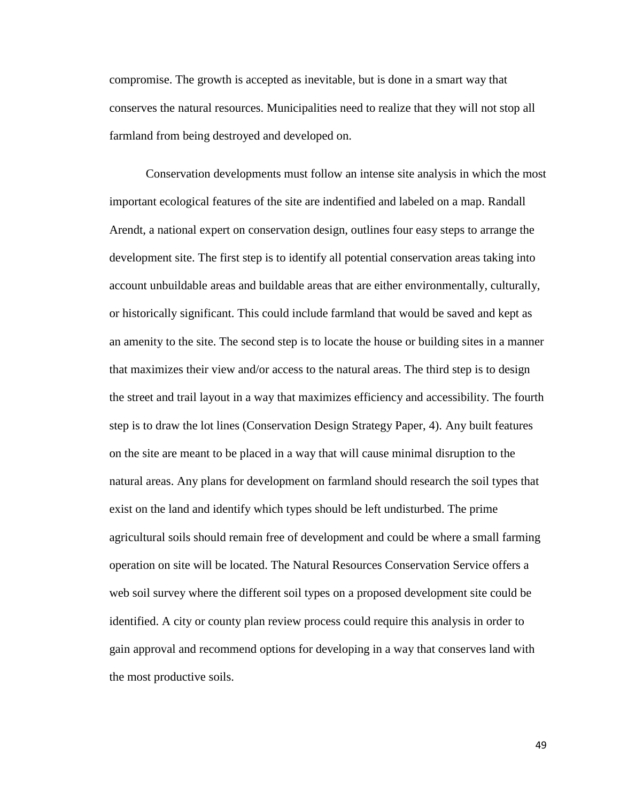compromise. The growth is accepted as inevitable, but is done in a smart way that conserves the natural resources. Municipalities need to realize that they will not stop all farmland from being destroyed and developed on.

Conservation developments must follow an intense site analysis in which the most important ecological features of the site are indentified and labeled on a map. Randall Arendt, a national expert on conservation design, outlines four easy steps to arrange the development site. The first step is to identify all potential conservation areas taking into account unbuildable areas and buildable areas that are either environmentally, culturally, or historically significant. This could include farmland that would be saved and kept as an amenity to the site. The second step is to locate the house or building sites in a manner that maximizes their view and/or access to the natural areas. The third step is to design the street and trail layout in a way that maximizes efficiency and accessibility. The fourth step is to draw the lot lines (Conservation Design Strategy Paper, 4). Any built features on the site are meant to be placed in a way that will cause minimal disruption to the natural areas. Any plans for development on farmland should research the soil types that exist on the land and identify which types should be left undisturbed. The prime agricultural soils should remain free of development and could be where a small farming operation on site will be located. The Natural Resources Conservation Service offers a web soil survey where the different soil types on a proposed development site could be identified. A city or county plan review process could require this analysis in order to gain approval and recommend options for developing in a way that conserves land with the most productive soils.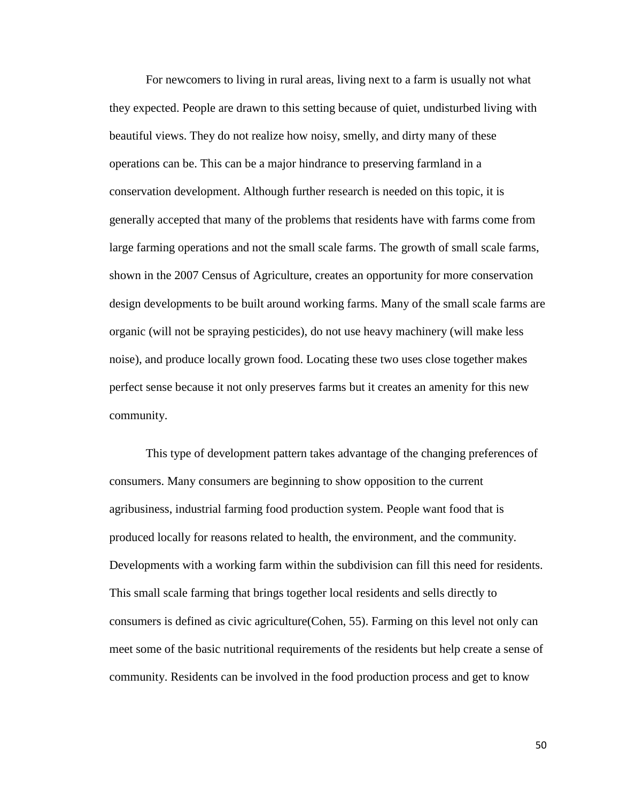For newcomers to living in rural areas, living next to a farm is usually not what they expected. People are drawn to this setting because of quiet, undisturbed living with beautiful views. They do not realize how noisy, smelly, and dirty many of these operations can be. This can be a major hindrance to preserving farmland in a conservation development. Although further research is needed on this topic, it is generally accepted that many of the problems that residents have with farms come from large farming operations and not the small scale farms. The growth of small scale farms, shown in the 2007 Census of Agriculture, creates an opportunity for more conservation design developments to be built around working farms. Many of the small scale farms are organic (will not be spraying pesticides), do not use heavy machinery (will make less noise), and produce locally grown food. Locating these two uses close together makes perfect sense because it not only preserves farms but it creates an amenity for this new community.

This type of development pattern takes advantage of the changing preferences of consumers. Many consumers are beginning to show opposition to the current agribusiness, industrial farming food production system. People want food that is produced locally for reasons related to health, the environment, and the community. Developments with a working farm within the subdivision can fill this need for residents. This small scale farming that brings together local residents and sells directly to consumers is defined as civic agriculture(Cohen, 55). Farming on this level not only can meet some of the basic nutritional requirements of the residents but help create a sense of community. Residents can be involved in the food production process and get to know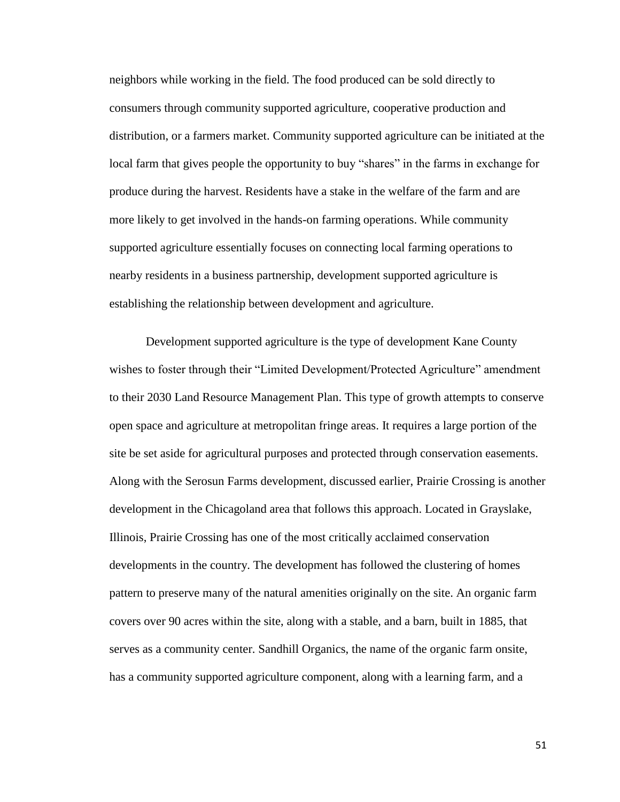neighbors while working in the field. The food produced can be sold directly to consumers through community supported agriculture, cooperative production and distribution, or a farmers market. Community supported agriculture can be initiated at the local farm that gives people the opportunity to buy "shares" in the farms in exchange for produce during the harvest. Residents have a stake in the welfare of the farm and are more likely to get involved in the hands-on farming operations. While community supported agriculture essentially focuses on connecting local farming operations to nearby residents in a business partnership, development supported agriculture is establishing the relationship between development and agriculture.

Development supported agriculture is the type of development Kane County wishes to foster through their "Limited Development/Protected Agriculture" amendment to their 2030 Land Resource Management Plan. This type of growth attempts to conserve open space and agriculture at metropolitan fringe areas. It requires a large portion of the site be set aside for agricultural purposes and protected through conservation easements. Along with the Serosun Farms development, discussed earlier, Prairie Crossing is another development in the Chicagoland area that follows this approach. Located in Grayslake, Illinois, Prairie Crossing has one of the most critically acclaimed conservation developments in the country. The development has followed the clustering of homes pattern to preserve many of the natural amenities originally on the site. An organic farm covers over 90 acres within the site, along with a stable, and a barn, built in 1885, that serves as a community center. Sandhill Organics, the name of the organic farm onsite, has a community supported agriculture component, along with a learning farm, and a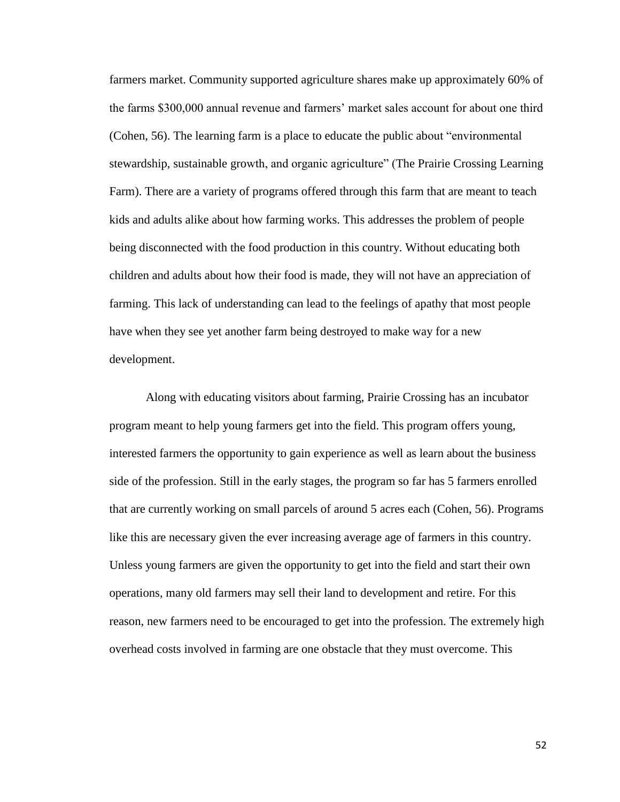farmers market. Community supported agriculture shares make up approximately 60% of the farms \$300,000 annual revenue and farmers" market sales account for about one third (Cohen, 56). The learning farm is a place to educate the public about "environmental stewardship, sustainable growth, and organic agriculture" (The Prairie Crossing Learning Farm). There are a variety of programs offered through this farm that are meant to teach kids and adults alike about how farming works. This addresses the problem of people being disconnected with the food production in this country. Without educating both children and adults about how their food is made, they will not have an appreciation of farming. This lack of understanding can lead to the feelings of apathy that most people have when they see yet another farm being destroyed to make way for a new development.

Along with educating visitors about farming, Prairie Crossing has an incubator program meant to help young farmers get into the field. This program offers young, interested farmers the opportunity to gain experience as well as learn about the business side of the profession. Still in the early stages, the program so far has 5 farmers enrolled that are currently working on small parcels of around 5 acres each (Cohen, 56). Programs like this are necessary given the ever increasing average age of farmers in this country. Unless young farmers are given the opportunity to get into the field and start their own operations, many old farmers may sell their land to development and retire. For this reason, new farmers need to be encouraged to get into the profession. The extremely high overhead costs involved in farming are one obstacle that they must overcome. This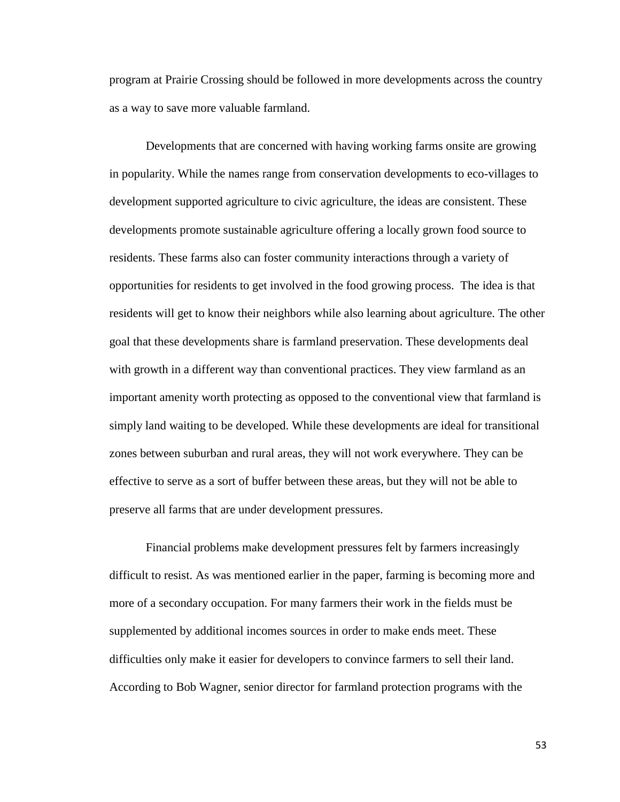program at Prairie Crossing should be followed in more developments across the country as a way to save more valuable farmland.

Developments that are concerned with having working farms onsite are growing in popularity. While the names range from conservation developments to eco-villages to development supported agriculture to civic agriculture, the ideas are consistent. These developments promote sustainable agriculture offering a locally grown food source to residents. These farms also can foster community interactions through a variety of opportunities for residents to get involved in the food growing process. The idea is that residents will get to know their neighbors while also learning about agriculture. The other goal that these developments share is farmland preservation. These developments deal with growth in a different way than conventional practices. They view farmland as an important amenity worth protecting as opposed to the conventional view that farmland is simply land waiting to be developed. While these developments are ideal for transitional zones between suburban and rural areas, they will not work everywhere. They can be effective to serve as a sort of buffer between these areas, but they will not be able to preserve all farms that are under development pressures.

Financial problems make development pressures felt by farmers increasingly difficult to resist. As was mentioned earlier in the paper, farming is becoming more and more of a secondary occupation. For many farmers their work in the fields must be supplemented by additional incomes sources in order to make ends meet. These difficulties only make it easier for developers to convince farmers to sell their land. According to Bob Wagner, senior director for farmland protection programs with the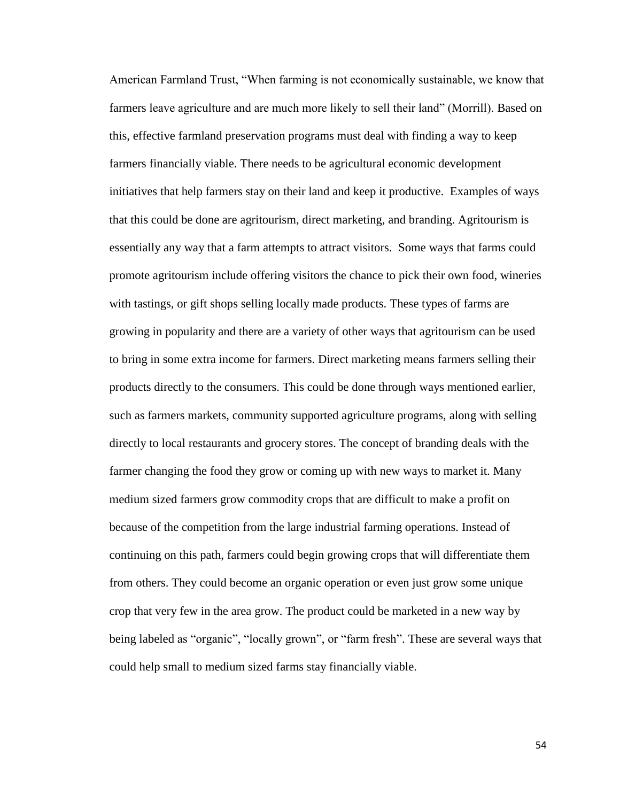American Farmland Trust, "When farming is not economically sustainable, we know that farmers leave agriculture and are much more likely to sell their land" (Morrill). Based on this, effective farmland preservation programs must deal with finding a way to keep farmers financially viable. There needs to be agricultural economic development initiatives that help farmers stay on their land and keep it productive. Examples of ways that this could be done are agritourism, direct marketing, and branding. Agritourism is essentially any way that a farm attempts to attract visitors. Some ways that farms could promote agritourism include offering visitors the chance to pick their own food, wineries with tastings, or gift shops selling locally made products. These types of farms are growing in popularity and there are a variety of other ways that agritourism can be used to bring in some extra income for farmers. Direct marketing means farmers selling their products directly to the consumers. This could be done through ways mentioned earlier, such as farmers markets, community supported agriculture programs, along with selling directly to local restaurants and grocery stores. The concept of branding deals with the farmer changing the food they grow or coming up with new ways to market it. Many medium sized farmers grow commodity crops that are difficult to make a profit on because of the competition from the large industrial farming operations. Instead of continuing on this path, farmers could begin growing crops that will differentiate them from others. They could become an organic operation or even just grow some unique crop that very few in the area grow. The product could be marketed in a new way by being labeled as "organic", "locally grown", or "farm fresh". These are several ways that could help small to medium sized farms stay financially viable.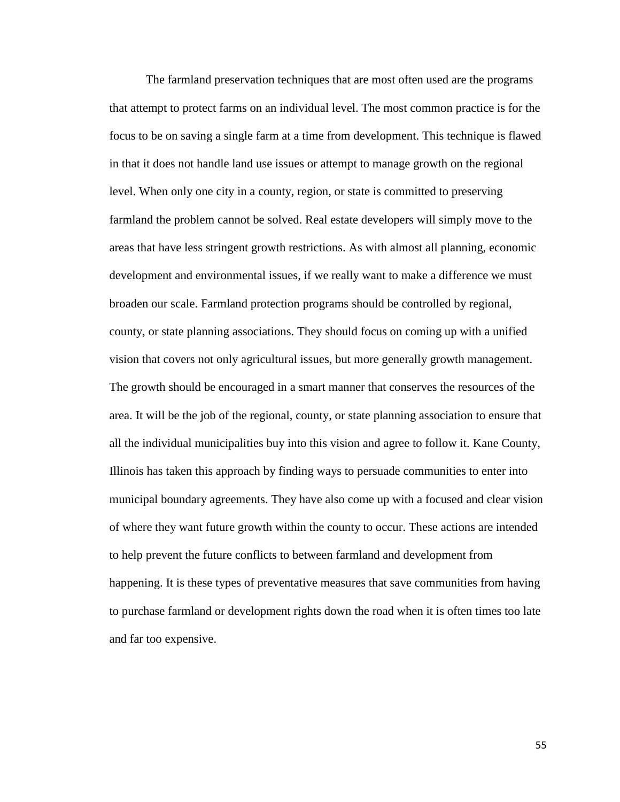The farmland preservation techniques that are most often used are the programs that attempt to protect farms on an individual level. The most common practice is for the focus to be on saving a single farm at a time from development. This technique is flawed in that it does not handle land use issues or attempt to manage growth on the regional level. When only one city in a county, region, or state is committed to preserving farmland the problem cannot be solved. Real estate developers will simply move to the areas that have less stringent growth restrictions. As with almost all planning, economic development and environmental issues, if we really want to make a difference we must broaden our scale. Farmland protection programs should be controlled by regional, county, or state planning associations. They should focus on coming up with a unified vision that covers not only agricultural issues, but more generally growth management. The growth should be encouraged in a smart manner that conserves the resources of the area. It will be the job of the regional, county, or state planning association to ensure that all the individual municipalities buy into this vision and agree to follow it. Kane County, Illinois has taken this approach by finding ways to persuade communities to enter into municipal boundary agreements. They have also come up with a focused and clear vision of where they want future growth within the county to occur. These actions are intended to help prevent the future conflicts to between farmland and development from happening. It is these types of preventative measures that save communities from having to purchase farmland or development rights down the road when it is often times too late and far too expensive.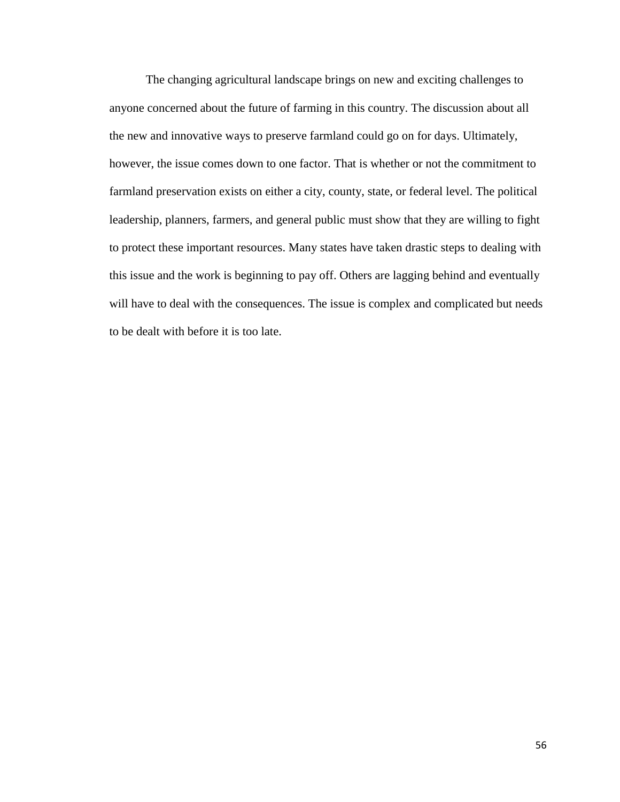The changing agricultural landscape brings on new and exciting challenges to anyone concerned about the future of farming in this country. The discussion about all the new and innovative ways to preserve farmland could go on for days. Ultimately, however, the issue comes down to one factor. That is whether or not the commitment to farmland preservation exists on either a city, county, state, or federal level. The political leadership, planners, farmers, and general public must show that they are willing to fight to protect these important resources. Many states have taken drastic steps to dealing with this issue and the work is beginning to pay off. Others are lagging behind and eventually will have to deal with the consequences. The issue is complex and complicated but needs to be dealt with before it is too late.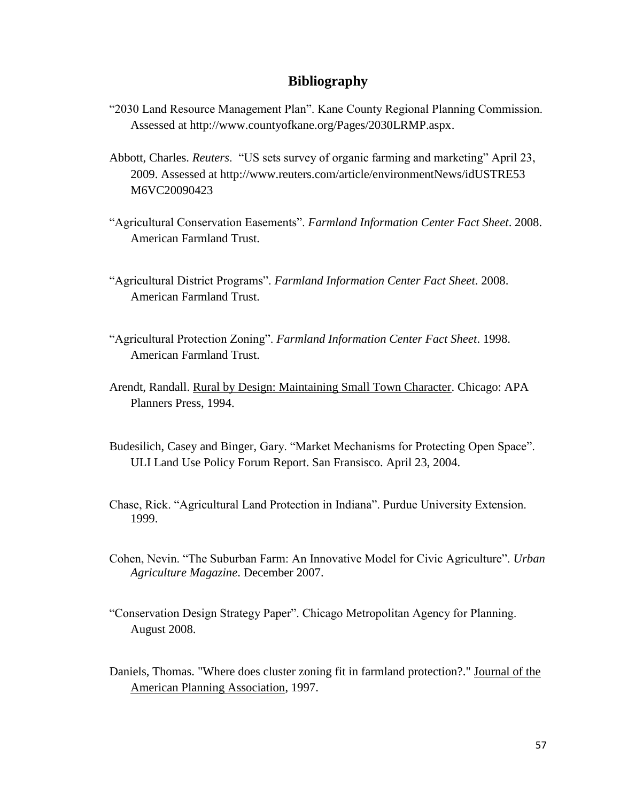## **Bibliography**

- "2030 Land Resource Management Plan". Kane County Regional Planning Commission. Assessed at [http://www.countyofkane.org/Pages/2030LRMP.aspx.](http://www.countyofkane.org/Pages/2030LRMP.aspx)
- Abbott, Charles. *Reuters*. "US sets survey of organic farming and marketing" April 23, 2009. Assessed at http://www.reuters.com/article/environmentNews/idUSTRE53 M6VC20090423
- "Agricultural Conservation Easements". *Farmland Information Center Fact Sheet*. 2008. American Farmland Trust.
- "Agricultural District Programs". *Farmland Information Center Fact Sheet*. 2008. American Farmland Trust.
- "Agricultural Protection Zoning". *Farmland Information Center Fact Sheet*. 1998. American Farmland Trust.
- Arendt, Randall. Rural by Design: Maintaining Small Town Character. Chicago: APA Planners Press, 1994.
- Budesilich, Casey and Binger, Gary. "Market Mechanisms for Protecting Open Space". ULI Land Use Policy Forum Report. San Fransisco. April 23, 2004.
- Chase, Rick. "Agricultural Land Protection in Indiana". Purdue University Extension. 1999.
- Cohen, Nevin. "The Suburban Farm: An Innovative Model for Civic Agriculture". *Urban Agriculture Magazine*. December 2007.
- "Conservation Design Strategy Paper". Chicago Metropolitan Agency for Planning. August 2008.
- Daniels, Thomas. "Where does cluster zoning fit in farmland protection?." Journal of the American Planning Association, 1997.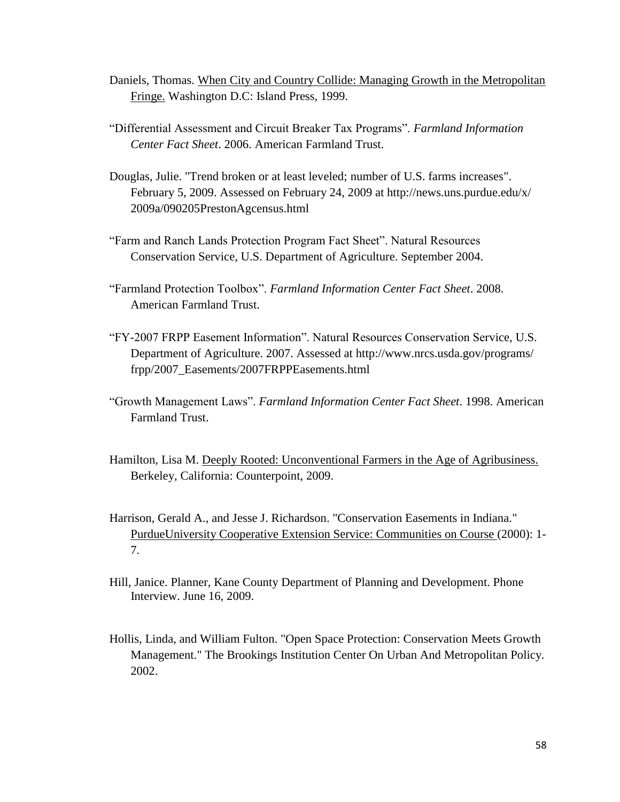- Daniels, Thomas. When City and Country Collide: Managing Growth in the Metropolitan Fringe. Washington D.C: Island Press, 1999.
- "Differential Assessment and Circuit Breaker Tax Programs". *Farmland Information Center Fact Sheet*. 2006. American Farmland Trust.
- Douglas, Julie. "Trend broken or at least leveled; number of U.S. farms increases". February 5, 2009. Assessed on February 24, 2009 at http://news.uns.purdue.edu/x/ 2009a/090205PrestonAgcensus.html
- "Farm and Ranch Lands Protection Program Fact Sheet". Natural Resources Conservation Service, U.S. Department of Agriculture. September 2004.
- "Farmland Protection Toolbox". *Farmland Information Center Fact Sheet*. 2008. American Farmland Trust.
- "FY-2007 FRPP Easement Information". Natural Resources Conservation Service, U.S. Department of Agriculture. 2007. Assessed at http://www.nrcs.usda.gov/programs/ frpp/2007\_Easements/2007FRPPEasements.html
- "Growth Management Laws". *Farmland Information Center Fact Sheet*. 1998. American Farmland Trust.
- Hamilton, Lisa M. Deeply Rooted: Unconventional Farmers in the Age of Agribusiness. Berkeley, California: Counterpoint, 2009.
- Harrison, Gerald A., and Jesse J. Richardson. "Conservation Easements in Indiana." PurdueUniversity Cooperative Extension Service: Communities on Course (2000): 1- 7.
- Hill, Janice. Planner, Kane County Department of Planning and Development. Phone Interview. June 16, 2009.
- Hollis, Linda, and William Fulton. "Open Space Protection: Conservation Meets Growth Management." The Brookings Institution Center On Urban And Metropolitan Policy. 2002.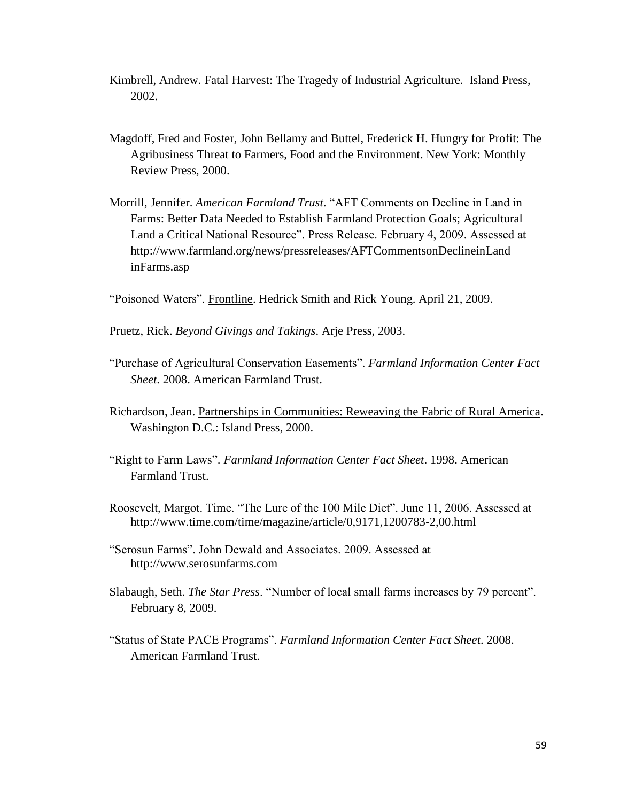- Kimbrell, Andrew. Fatal Harvest: The Tragedy of Industrial Agriculture. Island Press, 2002.
- Magdoff, Fred and Foster, John Bellamy and Buttel, Frederick H. Hungry for Profit: The Agribusiness Threat to Farmers, Food and the Environment. New York: Monthly Review Press, 2000.
- Morrill, Jennifer. *American Farmland Trust*. "AFT Comments on Decline in Land in Farms: Better Data Needed to Establish Farmland Protection Goals; Agricultural Land a Critical National Resource". Press Release. February 4, 2009. Assessed at http://www.farmland.org/news/pressreleases/AFTCommentsonDeclineinLand inFarms.asp
- "Poisoned Waters". Frontline. Hedrick Smith and Rick Young. April 21, 2009.
- Pruetz, Rick. *Beyond Givings and Takings*. Arje Press, 2003.
- "Purchase of Agricultural Conservation Easements". *Farmland Information Center Fact Sheet*. 2008. American Farmland Trust.
- Richardson, Jean. Partnerships in Communities: Reweaving the Fabric of Rural America. Washington D.C.: Island Press, 2000.
- "Right to Farm Laws". *Farmland Information Center Fact Sheet*. 1998. American Farmland Trust.
- Roosevelt, Margot. Time. "The Lure of the 100 Mile Diet". June 11, 2006. Assessed at http://www.time.com/time/magazine/article/0,9171,1200783-2,00.html
- "Serosun Farms". John Dewald and Associates. 2009. Assessed at http://www.serosunfarms.com
- Slabaugh, Seth. *The Star Press*. "Number of local small farms increases by 79 percent". February 8, 2009.
- "Status of State PACE Programs". *Farmland Information Center Fact Sheet*. 2008. American Farmland Trust.